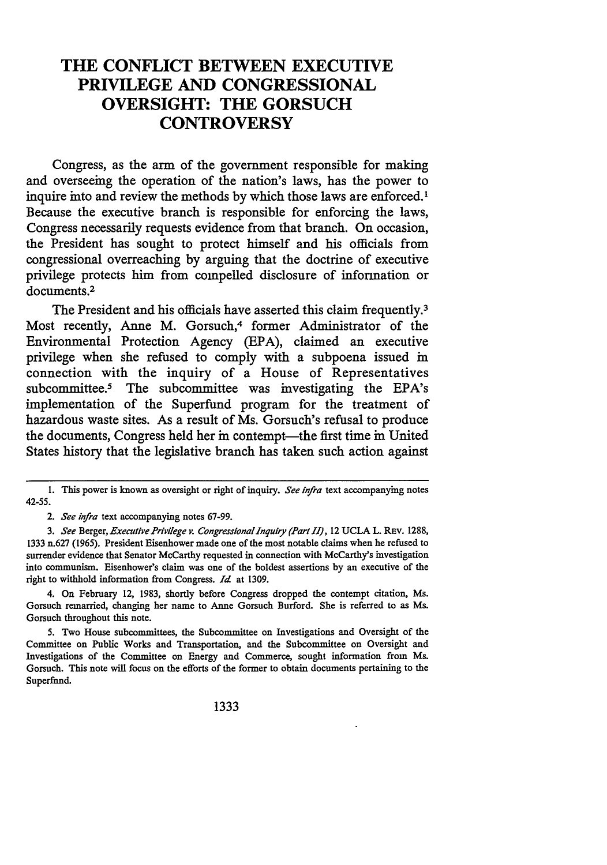# **THE CONFLICT BETWEEN EXECUTIVE PRIVILEGE AND CONGRESSIONAL OVERSIGHT: THE GORSUCH CONTROVERSY**

Congress, as the arm of the government responsible for making and overseeing the operation of the nation's laws, has the power to inquire into and review the methods by which those laws are enforced.<sup>1</sup> Because the executive branch is responsible for enforcing the laws, Congress necessarily requests evidence from that branch. On occasion, the President has sought to protect himself and his officials from congressional overreaching **by** arguing that the doctrine of executive privilege protects him from compelled disclosure of information or documents.<sup>2</sup>

The President and his officials have asserted this claim frequently.<sup>3</sup> Most recently, Anne M. Gorsuch,<sup>4</sup> former Administrator of the Environmental Protection Agency **(EPA),** claimed an executive privilege when she refused to comply with a subpoena issued in connection with the inquiry of a House of Representatives subcommittee.5 The subcommittee was investigating the EPA's implementation of the Superfund program for the treatment of hazardous waste sites. As a result of Ms. Gorsuch's refusal to produce the documents, Congress held her in contempt-the first time in United States history that the legislative branch has taken such action against

4. On February 12, 1983, shortly before Congress dropped the contempt citation, Ms. Gorsuch remarried, changing her name to Anne Gorsuch Burford. She is referred to as Ms. Gorsuch throughout this note.

<sup>1.</sup> This power is known as oversight or right of inquiry. See infra text accompanying notes 42-55.

*<sup>2.</sup> See infra* text accompanying notes 67-99.

*<sup>3.</sup> See* Berger, *Executive Privilege v. CongressionalInquiry (Part I1),* 12 UCLA L. REv. 1288, 1333 n.627 (1965). President Eisenhower made one of the most notable claims when he refused to surrender evidence that Senator McCarthy requested in connection with McCarthy's investigation into communism. Eisenhower's claim was one of the boldest assertions by an executive of the right to withhold information from Congress. *Id* at 1309.

<sup>5.</sup> Two House subcommittees, the Subcommittee on Investigations and Oversight of the Committee on Public Works and Transportation, and the Subcommittee on Oversight and Investigations of the Committee on Energy and Commerce, sought information from Ms. Gorsuch. This note will focus on the efforts of the former to obtain documents pertaining to the Superfund.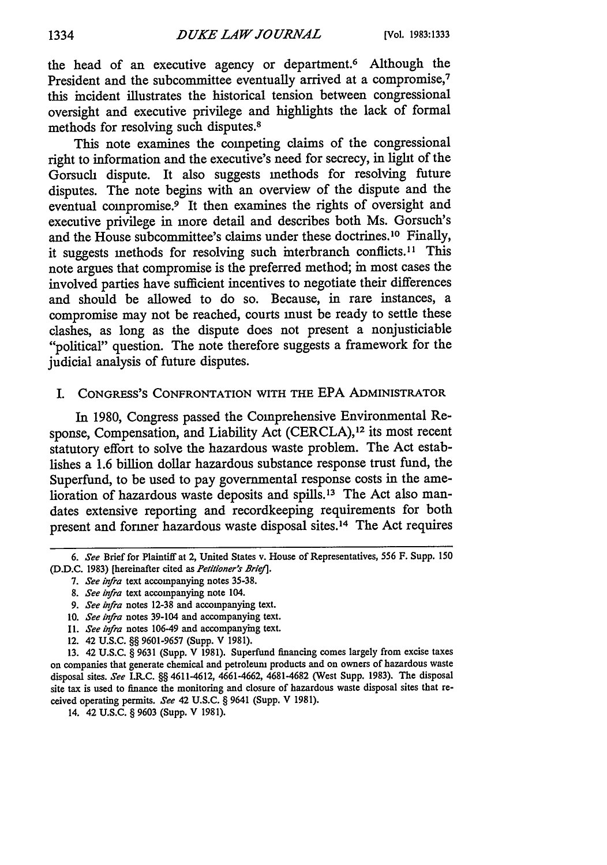the head of an executive agency or department.<sup>6</sup> Although the President and the subcommittee eventually arrived at a compromise,<sup>7</sup> this incident illustrates the historical tension between congressional oversight and executive privilege and highlights the lack of formal methods for resolving such disputes.<sup>8</sup>

This note examines the competing claims of the congressional right to information and the executive's need for secrecy, in light of the Gorsuch dispute. It also suggests methods for resolving future disputes. The note begins with an overview of the dispute and the eventual compromise.<sup>9</sup> It then examines the rights of oversight and executive privilege in more detail and describes both Ms. Gorsuch's and the House subcommittee's claims under these doctrines.<sup>10</sup> Finally, it suggests methods for resolving such interbranch conflicts.<sup>11</sup> This note argues that compromise is the preferred method; in most cases the involved parties have sufficient incentives to negotiate their differences and should be allowed to do so. Because, in rare instances, a compromise may not be reached, courts must be ready to settle these clashes, as long as the dispute does not present a nonjusticiable "political" question. The note therefore suggests a framework for the judicial analysis of future disputes.

## I. **CONGRESS'S** CONFRONTATION WITH THE **EPA** ADMINISTRATOR

In 1980, Congress passed the Comprehensive Environmental Response, Compensation, and Liability Act (CERCLA),<sup>12</sup> its most recent statutory effort to solve the hazardous waste problem. The Act establishes a 1.6 billion dollar hazardous substance response trust fund, the Superfund, to be used to pay governmental response costs in the amelioration of hazardous waste deposits and spills.<sup>13</sup> The Act also mandates extensive reporting and recordkeeping requirements for both present and former hazardous waste disposal sites.<sup>14</sup> The Act requires

- 11. *See infra* notes 106-49 and accompanying text.
- 12. 42 U.S.C. §§ 9601-9657 (Supp. V 1981).

13. 42 U.S.C. § 9631 (Supp. V 1981). Superfund financing comes largely from excise taxes on companies that generate chemical and petroleum products and on owners of hazardous waste disposal sites. *See* I.R.C. **§§** 4611-4612, 4661-4662, 4681-4682 (West Supp. 1983). The disposal site tax is used to finance the monitoring and closure of hazardous waste disposal sites that received operating permits. *See* 42 U.S.C. § 9641 (Supp. V 1981).

14. 42 U.S.C. § 9603 (Supp. V 1981).

<sup>6.</sup> *See* Brief for Plaintiff at 2, United States v. House of Representatives, 556 F. Supp. 150 **(D.D.C.** 1983) [hereinafter cited as *Petitioner's Brie/I.*

<sup>7.</sup> *See infra* text accompanying notes 35-38.

<sup>8.</sup> *See infra* text accompanying note 104.

<sup>9.</sup> *See infra* notes 12-38 and accompanying text.

<sup>10.</sup> *See infra* notes 39-104 and accompanying text.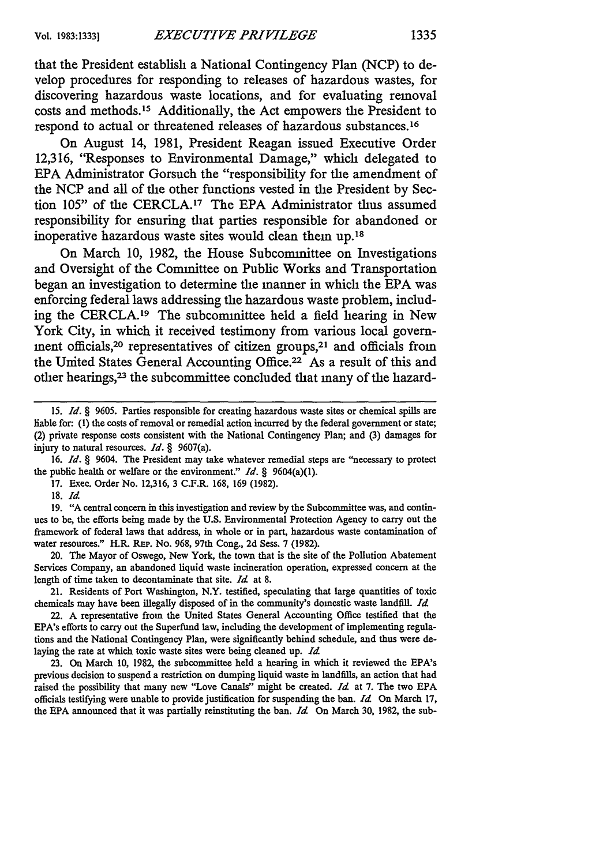that the President establish a National Contingency Plan **(NCP)** to develop procedures for responding to releases of hazardous wastes, for discovering hazardous waste locations, and for evaluating removal costs and methods. 15 Additionally, the Act empowers the President to respond to actual or threatened releases of hazardous substances.<sup>16</sup>

On August 14, **1981,** President Reagan issued Executive Order 12,316, "Responses to Environmental Damage," which delegated to **EPA** Administrator Gorsuch the "responsibility for the amendment of the **NCP** and all of the other functions vested in the President **by** Section 105" of the CERCLA.<sup>17</sup> The EPA Administrator thus assumed responsibility for ensuring that parties responsible for abandoned or inoperative hazardous waste sites would clean them up.<sup>18</sup>

On March **10, 1982,** the House Subcommittee on Investigations and Oversight of the Committee on Public Works and Transportation began an investigation to determine the manner in which the **EPA** was enforcing federal laws addressing the hazardous waste problem, including the CERCLA.<sup>19</sup> The subcommittee held a field hearing in New York City, in which it received testimony from various local government officials,20 representatives of citizen groups,2' and officials from the United States General Accounting Office.<sup>22</sup> As a result of this and other hearings,23 the subcommittee concluded that many of the hazard-

**16.** *Id. §* 9604. The President may take whatever remedial steps are "necessary to protect the public health or welfare or the environment." *Id.* § 9604(a)(1).

**18.** *Id*

19. "A central concern in this investigation and review by the Subcommittee was, and continues to be, the efforts being made by the U.S. Environmental Protection Agency to carry out the framework of federal laws that address, in whole or in part, hazardous waste contamination of water resources." H.R. REP. No. 968, 97th Cong., 2d Sess. 7 (1982).

20. The Mayor of Oswego, New York, the town that is the site of the Pollution Abatement Services Company, an abandoned liquid waste incineration operation, expressed concern at the length of time taken to decontaminate that site. *Id* at **8.**

21. Residents of Port Washington, N.Y. testified, speculating that large quantities of toxic chemicals may have been illegally disposed of in the community's domestic waste landfill. *Id*

22. A representative from the United States General Accounting Office testified that the EPA's efforts to carry out the Superfund law, including the development of implementing regulations and the National Contingency Plan, were significantly behind schedule, and thus were delaying the rate at which toxic waste sites were being cleaned up. *Id*

23. On March 10, 1982, the subcommittee held a hearing in which it reviewed the EPA's previous decision to suspend a restriction on dumping liquid waste in landfills, an action that had raised the possibility that many new "Love Canals" might be created. *Id* at 7. The two EPA officials testifying were unable to provide justification for suspending the ban. *Id* On March **17,** the EPA announced that it was partially reinstituting the ban. *Id* On March 30, 1982, the sub-

**<sup>15.</sup>** *Id. §* 9605. Parties responsible for creating hazardous waste sites or chemical spills are liable for: **(1)** the costs of removal or remedial action incurred by the federal government or state; (2) private response costs consistent with the National Contingency Plan; and **(3)** damages for injury to natural resources. *Id.* § 9607(a).

**<sup>17.</sup>** Exec. Order No. 12,316, 3 C.F.R. 168, 169 **(1982).**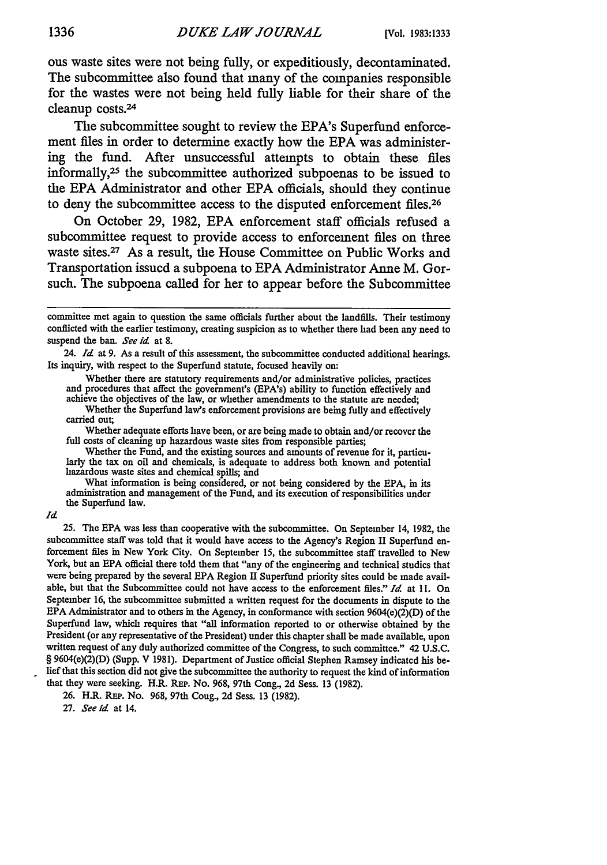ous waste sites were not being fully, or expeditiously, decontaminated. The subcommittee also found that many of the companies responsible for the wastes were not being held fully liable for their share of the cleanup costs.<sup>24</sup>

The subcommittee sought to review the EPA's Superfund enforcement **files** in order to determine exactly how the **EPA** was administering the fund. After unsuccessful attempts to obtain these files informally,<sup>25</sup> the subcommittee authorized subpoenas to be issued to the **EPA** Administrator and other **EPA** officials, should they continue to deny the subcommittee access to the disputed enforcement files.<sup>26</sup>

On October **29, 1982, EPA** enforcement staff officials refused a subcommittee request to provide access to enforcement files on three waste sites.<sup>27</sup> As a result, the House Committee on Public Works and Transportation issued a subpoena to **EPA** Administrator Anne M. Gorsuch. The subpoena called for her to appear before the Subcommittee

24. *Id* at 9. As a result of this assessment, the subcommittee conducted additional hearings. Its inquiry, with respect to the Superfund statute, focused heavily on:

Whether there are statutory requirements and/or administrative policies, practices and procedures that affect the government's (EPA's) ability to function effectively and achieve the objectives of the law, or whether amendments to the statute are needed;

Whether the Superfund law's enforcement provisions are being fully and effectively carried out;

Whether adequate efforts have been, or are being made to obtain and/or recover the full costs of cleaning up hazardous waste sites from responsible parties;

Whether the Fund, and the existing sources and amounts of revenue for it, particu-<br>larly the tax on oil and chemicals, is adequate to address both known and potential<br>hazardous waste sites and chemical spills; and

What information is being considered, or not being considered by the EPA, in its administration and management of the Fund, and its execution of responsibilities under the Superfund law.

*Id*

25. The EPA was less than cooperative with the subcommittee. On September 14, 1982, the subcommittee staff was told that it would have access to the Agency's Region II Superfund en- forcement files in New York City. On September 15, the subcommittee staff travelled to New York, but an EPA official there told them that "any of the engineering and technical studies that were being prepared by the several EPA Region II Superfund priority sites could be made available, but that the Subcommittee could not have access to the enforcement files." *Id* at 11. On September 16, the subcommittee submitted a written request for the documents in dispute to the EPA Administrator and to others in the Agency, in conformance with section  $9604(e)(2)(D)$  of the Superfund law, which requires that "all information reported to or otherwise obtained by the President (or any representative of the President) under this chapter shall be made available, upon written request of any duly authorized committee of the Congress, to such committee." 42 U.S.C. § 9604(e)(2)(D) (Supp. V 1981). Department of Justice official Stephen Ramsey indicated his belief that this section did not give the subcommittee the authority to request the kind of information that they were seeking. H.R. REP. No. 968, 97th Cong., 2d Sess. 13 (1982).

26. H.R. REP. No. 968, 97th Cong., 2d Sess. 13 (1982).

27. *See id* at 14.

committee met again to question the same officials further about the landfills. Their testimony conflicted with the earlier testimony, creating suspicion as to whether there had been any need to suspend the ban. *See id* at 8.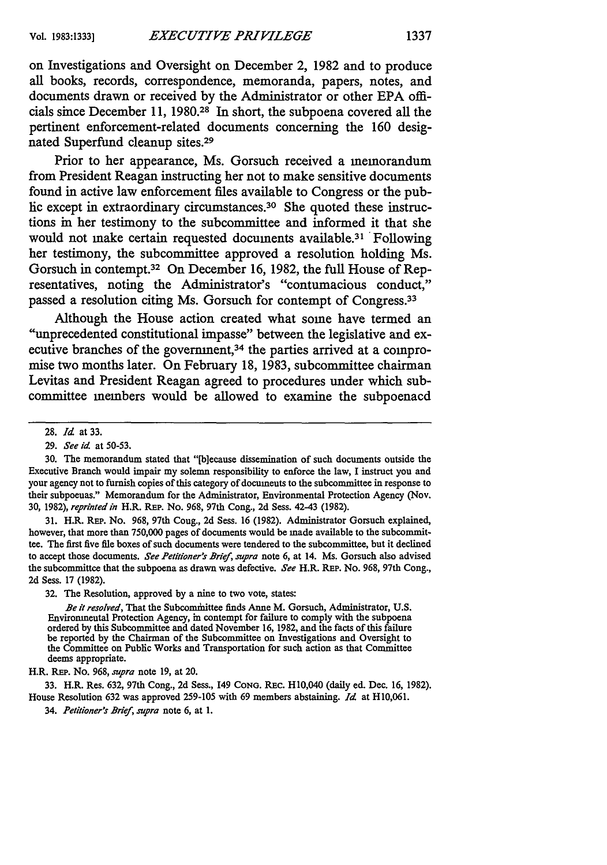on Investigations and Oversight on December 2, **1982** and to produce all books, records, correspondence, memoranda, papers, notes, and documents drawn or received **by** the Administrator or other **EPA** officials since December **11, 1980.28** In short, the subpoena covered all the pertinent enforcement-related documents concerning the **160** designated Superfund cleanup sites.<sup>29</sup>

Prior to her appearance, Ms. Gorsuch received a memorandum from President Reagan instructing her not to make sensitive documents found in active law enforcement files available to Congress or the public except in extraordinary circumstances.<sup>30</sup> She quoted these instructions in her testimony to the subcommittee and informed it that she would not make certain requested documents available.<sup>31</sup> Following her testimony, the subcommittee approved a resolution holding Ms. Gorsuch in contempt.32 On December **16, 1982,** the full House of Representatives, noting the Administrator's "contumacious conduct," passed a resolution citing Ms. Gorsuch for contempt of Congress.<sup>33</sup>

Although the House action created what some have termed an "unprecedented constitutional impasse" between the legislative and executive branches of the government,<sup>34</sup> the parties arrived at a compromise two months later. On February **18, 1983,** subcommittee chairman Levitas and President Reagan agreed to procedures under which subcommittee members would be allowed to examine the subpoenaed

31. H.R. REP. No. 968, 97th Cong., 2d Sess. 16 (1982). Administrator Gorsuch explained, however, that more than 750,000 pages of documents would be made available to the subcommittee. The first five fie boxes of such documents were tendered to the subcommittee, but it declined to accept those documents. *See Petitioner's Brief, supra* note 6, at 14. Ms. Gorsuch also advised the subcommittee that the subpoena as drawn was defective. *See* H.R. REP. No. 968, 97th Cong., **2d** Sess. 17 (1982).

32. The Resolution, approved by a nine to two vote, states:

*Be it resolved,* That the Subcomhittee finds Anne M. Gorsuch, Administrator, U.S. Environmental Protection Agency, in contempt for failure to comply with the subpoena ordered by this Subcommittee and dated November 16, 1982, and the facts of this failure be reported by the Chairman of the Subcommittee on Investigations and Oversight to the Committee on Public Works and Transportation for such action as that Committee deems appropriate.

H.R. REP. No. 968, *supra* note 19, at 20.

33. H.R. Res. 632, 97th Cong., 2d Sess., 149 CoNG. Rac. H10,040 (daily ed. Dec. 16, 1982). House Resolution 632 was approved 259-105 with 69 members abstaining. *Id* at H10,061.

34. *Petltioner'r BrIef, supra* note **6,** at **1.**

<sup>28.</sup> *Id* at 33.

<sup>29.</sup> *See id* at **50-53.**

<sup>30.</sup> The memorandum stated that "[b]ecause dissemination of such documents outside the Executive Branch would impair my solemn responsibility to enforce the law, I instruct you and your agency not to furnish copies of this category of documents to the subcommittee in response to their subpoenas." Memorandum for the Administrator, Environmental Protection Agency (Nov. 30, 1982), *reprinted in* H.R. **REP.** No. 968, 97th Cong., 2d Sess. 42-43 (1982).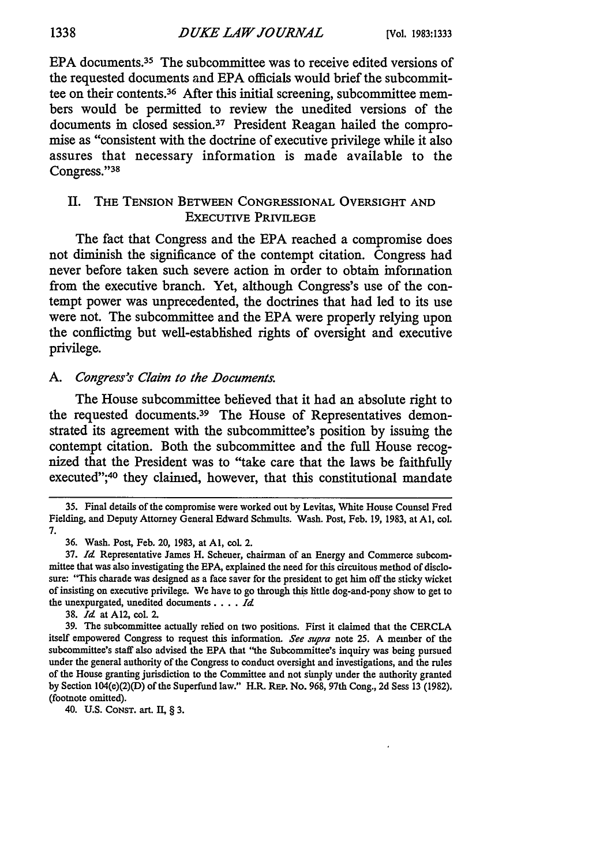EPA documents.<sup>35</sup> The subcommittee was to receive edited versions of the requested documents and **EPA** officials would brief the subcommittee on their contents.36 After this initial screening, subcommittee members would be permitted to review the unedited versions of the documents in closed session.37 President Reagan hailed the compromise as "consistent with the doctrine of executive privilege while it also assures that necessary information is made available to the Congress."<sup>38</sup>

# II. THE TENSION BETWEEN CONGRESSIONAL OVERSIGHT AND EXECUTIVE PRIVILEGE

The fact that Congress and the **EPA** reached a compromise does not diminish the significance of the contempt citation. Congress had never before taken such severe action in order to obtain information from the executive branch. Yet, although Congress's use of the contempt power was unprecedented, the doctrines that had led to its use were not. The subcommittee and the **EPA** were properly relying upon the conflicting but well-established rights of oversight and executive privilege.

### *A. Congress's Claim to the Documents.*

The House subcommittee believed that it had an absolute right to the requested documents.<sup>39</sup> The House of Representatives demonstrated its agreement with the subcommittee's position **by** issuing the contempt citation. Both the subcommittee and the full House recognized that the President was to "take care that the laws be faithfully executed";<sup>40</sup> they claimed, however, that this constitutional mandate

38. *Id* at A12, col. 2.

40. U.S. CoNsT. art. II, § 3.

1338

**<sup>35.</sup>** Final details of the compromise were worked out **by** Levitas, White House Counsel Fred Fielding, and Deputy Attorney General Edward Schmults. Wash. Post, Feb. 19, 1983, at Al, col. 7.

<sup>36.</sup> Wash. Post, Feb. **20,** 1983, at **Al,** col. 2.

<sup>37.</sup> *Id* Representative James H. Scheuer, chairman of an Energy and Commerce subcommittee that was also investigating the **EPA,** explained the need for this circuitous method of disclosure: "This charade was designed as a face saver for the president to get him off the sticky wicket of insisting on executive privilege. We have to go through this little dog-and-pony show to get to the unexpurgated, unedited **documents** .... *Id*

<sup>39.</sup> The subcommittee actually relied on two positions. First it claimed that the CERCLA itself empowered Congress to request this information. *See supra* note 25. A member of the subcommittee's staff also advised the **EPA** that "the Subcommittee's inquiry was being pursued under the general authority of the Congress to conduct oversight and investigations, and the rules of the House granting jurisdiction to the Committee and not simply under the authority granted by Section 104(e)(2)(D) of the Superfund law." H.R. REP. No. 968, 97th Cong., 2d Sess 13 (1982). (footnote omitted).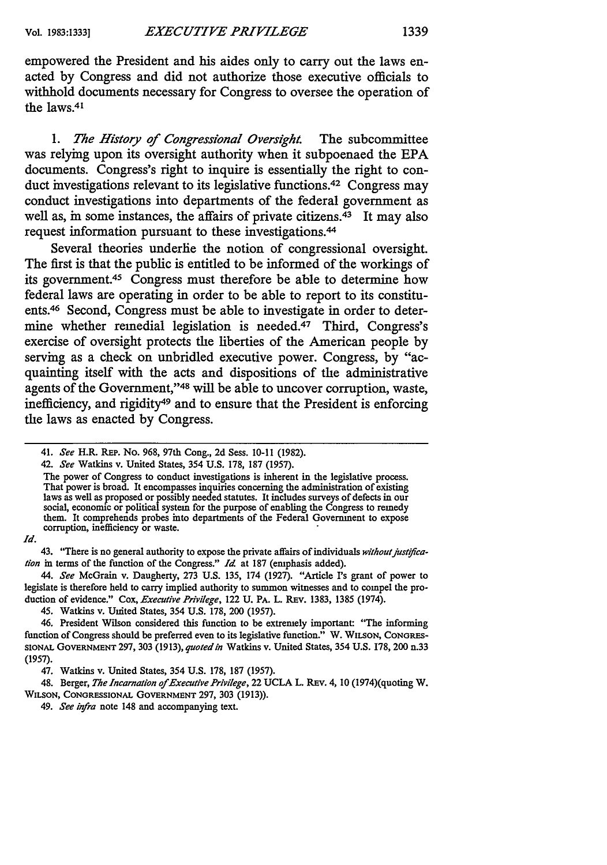empowered the President and his aides only to carry out the laws enacted **by** Congress and did not authorize those executive officials to withhold documents necessary for Congress to oversee the operation of the laws.<sup>41</sup>

*1. The History of Congressional Oversight.* The subcommittee was relying upon its oversight authority when it subpoenaed the **EPA** documents. Congress's right to inquire is essentially the right to conduct investigations relevant to its legislative functions.42 Congress may conduct investigations into departments of the federal government as well as, in some instances, the affairs of private citizens.<sup>43</sup> It may also request information pursuant to these investigations.<sup>44</sup>

Several theories underlie the notion of congressional oversight. The first is that the public is entitled to be informed of the workings of its government.<sup>45</sup> Congress must therefore be able to determine how federal laws are operating in order to be able to report to its constituents.46 Second, Congress must be able to investigate in order to determine whether remedial legislation is needed.<sup>47</sup> Third, Congress's exercise of oversight protects the liberties of the American people **by** serving as a check on unbridled executive power. Congress, **by** "acquainting itself with the acts and dispositions of the administrative agents of the Government,"48 will be able to uncover corruption, waste, inefficiency, and rigidity49 and to ensure that the President is enforcing the laws as enacted **by** Congress.

The power of Congress to conduct investigations is inherent in the legislative process. That power is broad. It encompasses inquiries concerning the administration of existing laws as well as proposed or possibly needed statutes. It includes surveys of defects in our social, economic or political system for the purpose of enabling the Congress to remedy them. It comprehends probes into departments of the Federal Government to expose corruption, inefficiency or waste.

*Id.*

45. Watkins v. United States, 354 U.S. 178, 200 (1957).

48. Berger, *The Incarnation of Executive Privilege,* 22 UCLA L. REv. 4, 10 (1974)(quoting W. **WILSON, CONGRESSIONAL GOVERNMENT** 297, 303 (1913)).

<sup>41.</sup> *See* H.R. **REP.** No. 968, 97th Cong., 2d Sess. 10-11 (1982).

*<sup>42.</sup> See* Watkins v. United States, 354 U.S. 178, 187 (1957).

<sup>43. &</sup>quot;There is no general authority to expose the private affairs of individuals without justifica*lion* in terms of the function of the Congress." *Id* at 187 (emphasis added).

*<sup>44.</sup> See* McGrain v. Daugherty, **273** U.S. 135, 174 (1927). "Article Is grant of power to legislate is therefore held to **carry** implied authority to summon witnesses and to compel the production of evidence." Cox, *Executive Privilege,* 122 **U.** PA. L. REV. 1383, 1385 (1974).

<sup>46.</sup> President Wilson considered this function to be extremely important: "The informing function of Congress should be preferred even to its legislative function." W. **WILSON,** CONGRES-**SIONAL GOVERNMENT** 297, 303 (1913), *quotedin* Watkins v. United States, 354 U.S. 178, 200 n.33 (1957).

<sup>47.</sup> Watkins v. United States, 354 U.S. 178, 187 (1957).

<sup>49.</sup> *See infra* note 148 and accompanying text.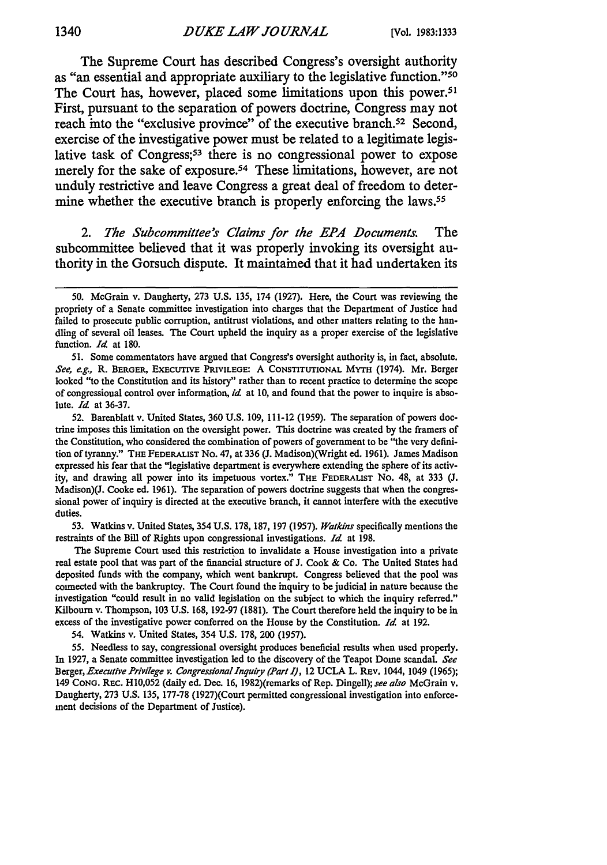The Supreme Court has described Congress's oversight authority as "an essential and appropriate auxiliary to the legislative function."<sup>50</sup> The Court has, however, placed some limitations upon this power.<sup>51</sup> First, pursuant to the separation of powers doctrine, Congress may not reach into the "exclusive province" of the executive branch.<sup>52</sup> Second, exercise of the investigative power must be related to a legitimate legislative task of Congress;<sup>53</sup> there is no congressional power to expose merely for the sake of exposure.<sup>54</sup> These limitations, however, are not unduly restrictive and leave Congress a great deal of freedom to determine whether the executive branch is properly enforcing the laws.<sup>55</sup>

*2. The Subcommittee's Claims for the EPA Documents.* The subcommittee believed that it was properly invoking its oversight authority in the Gorsuch dispute. It maintained that it had undertaken its

52. Barenblatt v. United States, 360 U.S. 109, 111-12 (1959). The separation of powers **doc**trine imposes this limitation on the oversight power. This doctrine was created **by** the framers of the Constitution, who considered the combination of powers of government to be "the very definition of tyranny." THE **FEDERALIST** No. 47, at 336 (J. Madison)(Wright **ed.** 1961). James Madison expressed his fear that the "legislative department is everywhere extending the sphere of its activity, and drawing all power into its impetuous vortex." THE FEDERALIST No. 48, at 333 (J. Madison)(J. Cooke ed. 1961). The separation of powers doctrine suggests that when the congressional power of inquiry is directed at the executive branch, it cannot interfere with the executive duties.

**53.** Watkins v. United States, 354 **U.S.** 178, **187, 197 (1957).** Watkins specifically mentions the restraints of the Bill of Rights upon congressional investigations. *Id* at 198.

The Supreme Court used this restriction to invalidate a House investigation into a private real estate pool that was part of the financial structure of J. Cook & Co. The United States had deposited funds with the company, which went bankrupt. Congress believed that the pool was connected with the bankruptcy. The Court found the inquiry to be judicial in nature because the investigation "could result in no valid legislation on the subject to which the inquiry referred." Kilbourn v. Thompson, 103 U.S. 168, 192-97 (1881). The Court therefore held the inquiry to be in excess of the investigative power conferred on the House by the Constitution. *Id* at 192.

54. Watkins v. United States, 354 U.S. 178, 200 (1957).

55. Needless to say, congressional oversight produces beneficial results when used properly. In 1927, a Senate committee investigation led to the discovery of the Teapot Dome scandal. *See Berger, Executive Privilege v. Congressional Inquiry (Part* **1),** 12 UCLA L. REV. 1044, 1049 (1965); 149 **CONG.** Rac. HI0,052 (daily ed. Dec. 16, 1982)(remarks of Rep. Dingell); *see also* McGrain v. Daugherty, 273 U.S. 135, 177-78 (1927)(Court permitted congressional investigation into enforcement decisions of the Department of Justice).

<sup>50.</sup> McGrain v. Daugherty, 273 U.S. 135, 174 (1927). Here, the Court was reviewing the propriety of a Senate committee investigation into charges that the Department of Justice had failed to prosecute public corruption, antitrust violations, and other matters relating to the handling of several oil leases. The Court upheld the inquiry as a proper exercise of the legislative function. *Id* at 180.

<sup>51.</sup> Some commentators have argued that Congress's oversight authority is, in fact, absolute. See, e.g., R. BERGER, EXECUTIVE PRIVILEGE: A CONSTITUTIONAL MYTH (1974). Mr. Berger looked "to the Constitution and its history" rather than to recent practice to determine the scope of congressional control over information, *id* at 10, and found that the power to inquire is absolute. *Id* at 36-37.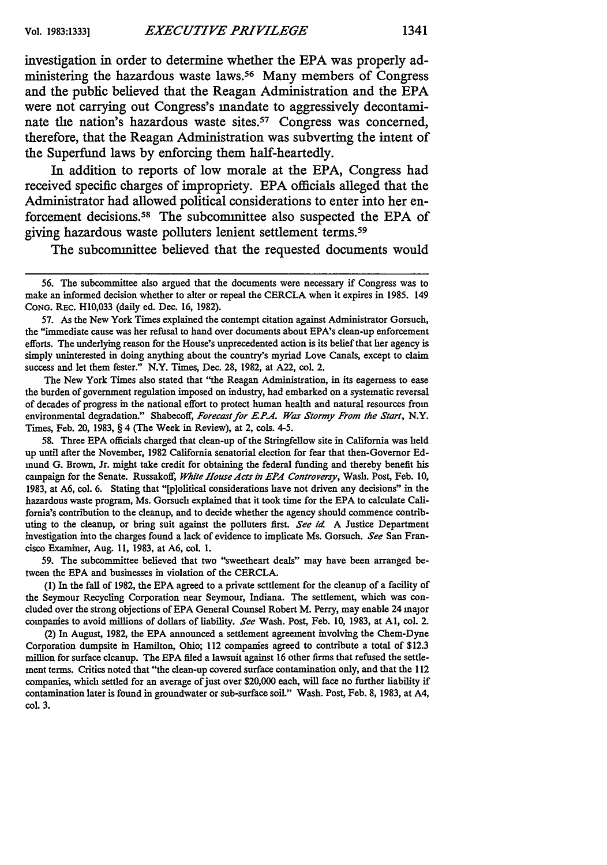investigation in order to determine whether the **EPA** was properly administering the hazardous waste laws.<sup>56</sup> Many members of Congress and the public believed that the Reagan Administration and the **EPA** were not carrying out Congress's mandate to aggressively decontaminate the nation's hazardous waste sites.<sup>57</sup> Congress was concerned, therefore, that the Reagan Administration was subverting the intent of

In addition to reports of low morale at the **EPA,** Congress had received specific charges of impropriety. **EPA** officials alleged that the Administrator had allowed political considerations to enter into her enforcement decisions.58 The subcommittee also suspected the **EPA** of giving hazardous waste polluters lenient settlement terms.<sup>59</sup>

the Superfund laws **by** enforcing them half-heartedly.

The subcommittee believed that the requested documents would

57. As the New York Times explained the contempt citation against Administrator Gorsuch, the "immediate cause was her refusal to hand over documents about EPA's clean-up enforcement efforts. The underlying reason for the House's unprecedented action is its belief that her agency is simply uninterested in doing anything about the country's myriad Love Canals, except to claim success and let them fester." N.Y. Times, Dec. 28, 1982, at A22, col. 2.

The New York Times also stated that "the Reagan Administration, in its eagerness to ease the burden of government regulation imposed on industry, had embarked on a systematic reversal of decades of progress in the national effort to protect human health and natural resources from environmental degradation." Shabecoff, Forecast for E.P.A. Was Stormy From the Start, N.Y. Times, Feb. 20, 1983, § 4 (The Week in Review), at 2, cols. 4-5.

58. Three EPA officials charged that clean-up of the Stringfellow site in California was held up until after the November, 1982 California senatorial election for fear that then-Governor Edmund G. Brown, Jr. might take credit for obtaining the federal funding and thereby benefit his campaign for the Senate. Russakoff, *White House Acts in EP4 Controversy,* Wash. Post, Feb. 10, 1983, at A6, col. 6. Stating that "[plolitical considerations have not driven any decisions" in the hazardous waste program, Ms. Gorsuch explained that it took time for the EPA to calculate California's contribution to the cleanup, and to decide whether the agency should commence contributing to the cleanup, or bring suit against the polluters first. *See id* A Justice Department investigation into the charges found a lack of evidence to implicate Ms. Gorsuch. *See* San Francisco Examiner, Aug. **11,** 1983, at A6, col. I.

59. The subcommittee believed that two "sweetheart deals" may have been arranged between the EPA and businesses in violation of the CERCLA.

**(1)** In the fall of 1982, the EPA agreed to a private settlement for the cleanup of a facility of the Seymour Recycling Corporation near Seymour, Indiana. The settlement, which was concluded over the strong objections of EPA General Counsel Robert M. Perry, may enable 24 major companies to avoid millions of dollars of liability. *See* Wash. Post, Feb. 10, 1983, at **Al,** col. 2.

(2) In August, 1982, the EPA announced a settlement agreement involving the Chem-Dyne Corporation dumpsite in Hamilton, Ohio; 112 companies agreed to contribute a total of \$12.3 million for surface cleanup. The EPA filed a lawsuit against 16 other firms that refused the settlement terms. Critics noted that "the clean-up covered surface contamination only, and that the 112 companies, which settled for an average of just over \$20,000 each, will face no further liability if contamination later is found in groundwater or sub-surface soil." Wash. Post, Feb. 8, 1983, at A4, col. 3.

**<sup>56.</sup>** The subcommittee also argued that the documents were necessary if Congress was to make an informed decision whether to alter or repeal the CERCLA when it expires in 1985. 149 CONG. REC. H10,033 (daily ed. Dec. 16, 1982).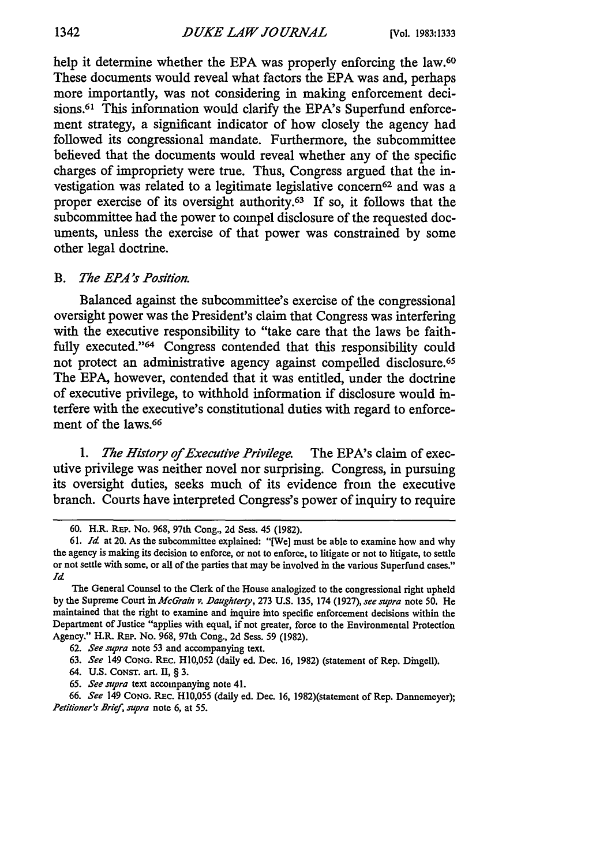help it determine whether the EPA was properly enforcing the law.<sup>60</sup> These documents would reveal what factors the **EPA** was and, perhaps more importantly, was not considering in making enforcement decisions.<sup>61</sup> This information would clarify the EPA's Superfund enforcement strategy, a significant indicator of how closely the agency had followed its congressional mandate. Furthermore, the subcommittee believed that the documents would reveal whether any of the specific charges of impropriety were true. Thus, Congress argued that the investigation was related to a legitimate legislative concern<sup>62</sup> and was a proper exercise of its oversight authority.<sup>63</sup> If so, it follows that the subcommittee had the power to compel disclosure of the requested documents, unless the exercise of that power was constrained **by** some other legal doctrine.

#### **B.** *The EPA's Position.*

Balanced against the subcommittee's exercise of the congressional oversight power was the President's claim that Congress was interfering with the executive responsibility to "take care that the laws be faithfully executed."<sup>64</sup> Congress contended that this responsibility could not protect an administrative agency against compelled disclosure.65 The **EPA,** however, contended that it was entitled, under the doctrine of executive privilege, to withhold information if disclosure would interfere with the executive's constitutional duties with regard to enforcement of the laws.<sup>66</sup>

*1. The History of Executive Privilege.* The EPA's claim of executive privilege was neither novel nor surprising. Congress, in pursuing its oversight duties, seeks much of its evidence from the executive branch. Courts have interpreted Congress's power of inquiry to require

<sup>60.</sup> H.R. REP. No. 968, 97th Cong., 2d Sess. 45 (1982).

<sup>61.</sup> *Id* at 20. As the subcommittee explained: "[We] must be able to examine how and why the agency is making its decision to enforce, or not to enforce, to litigate or not to litigate, to settle or not settle with some, or all of the parties that may be involved in the various Superfund cases." *Id*

The General Counsel to the Clerk of the House analogized to the congressional right upheld **by** the Supreme Court in *McGrain v. Daughterty,* 273 **U.S.** 135, 174 (1927), *see supra* note 50. He maintained that the right to examine and inquire into specific enforcement decisions within the Department of Justice "applies with equal, if not greater, force to the Environmental Protection Agency." H.R. REP. No. 968, 97th Cong., 2d Sess. 59 (1982).

<sup>62.</sup> *See supra* note **53** and accompanying text.

<sup>63.</sup> *See* 149 CONG. REc. HI0,052 (daily ed. Dec. 16, 1982) (statement of Rep. Dingell).

<sup>64.</sup> **U.S.** CoNsT. art. II, § 3.

<sup>65.</sup> *See supra* text accompanying note 41.

<sup>66.</sup> *See* 149 CONG. Rac. H10,055 (daily ed. Dec. 16, 1982)(statement of Rep. Dannemeyer); *Petitioner'r Brief, supra* note **6,** at 55.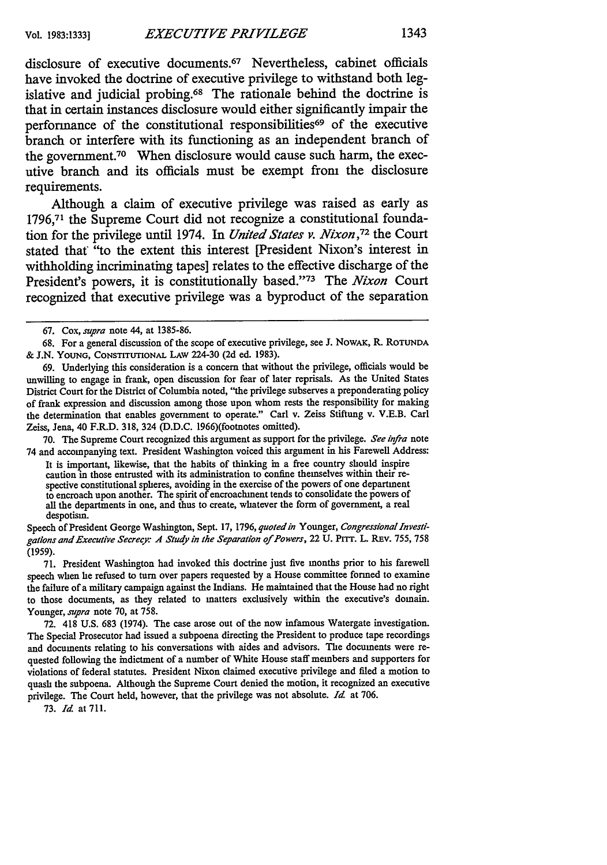disclosure of executive documents.67 Nevertheless, cabinet officials have invoked the doctrine of executive privilege to withstand both legislative and judicial probing.68 The rationale behind the doctrine is that in certain instances disclosure would either significantly impair the performance of the constitutional responsibilities<sup>69</sup> of the executive branch or interfere with its functioning as an independent branch of the government.<sup>70</sup> When disclosure would cause such harm, the executive branch and its officials must be exempt from the disclosure requirements.

Although a claim of executive privilege was raised as early as **1796,7t** the Supreme Court did not recognize a constitutional foundation for the privilege until 1974. In *United States v. Nixon, <sup>72</sup>*the Court stated that "to the extent this interest [President Nixon's interest in withholding incriminating tapes] relates to the effective discharge of the President's powers, it is constitutionally based."<sup>73</sup> The *Nixon* Court recognized that executive privilege was a byproduct of the separation

70. The Supreme Court recognized this argument as support for the privilege. *See infra* note 74 and accompanying text. President Washington voiced this argument in his Farewell Address:

It is important, likewise, that the habits of thinking in a free country should inspire caution in those entrusted with its administration to confine themselves within their respective constitutional spheres, avoiding in the exercise of the powers of one department to encroach upon another. The spirit of encroachment tends to consolidate the powers of all the departments in one, and thus to create, whatever the form of government, a real despotism.

Speech of President George Washington, Sept. 17, 1796, *quoted in* Younger, *Congressional Investigations and Executive Secrecy: A Study in the Separation of Powers,* 22 U. PrrT. L. REv. 755, 758 (1959).

71. President Washington had invoked this doctrine just five months prior to his farewell speech when he refused to turn over papers requested by a House committee formed to examine the failure of a military campaign against the Indians. He maintained that the House had no right to those documents, as they related to matters exclusively within the executive's domain. Younger, *supra* note 70, at 758.

72. 418 U.S. 683 (1974). The case arose out of the now infamous Watergate investigation. The Special Prosecutor had issued a subpoena directing the President to produce tape recordings and documents relating to his conversations with aides and advisors. The documents were requested following the indictment of a number of White House staff members and supporters for violations of federal statutes. President Nixon claimed executive privilege and filed a motion to quash the subpoena. Although the Supreme Court denied the motion, it recognized an executive privilege. The Court held, however, that the privilege was not absolute. *Id* at 706.

73. *Id* at 711.

<sup>67.</sup> Cox, *supra* note 44, at 1385-86.

<sup>68.</sup> For a general discussion of the scope of executive privilege, see **J.** NOWAK, R. ROTUNDA & J.N. YOUNG, CONSTITTIONAL LAW 224-30 (2d ed. 1983).

<sup>69.</sup> Underlying this consideration is a concern that without the privilege, officials would be unwilling to engage in frank, open discussion for fear of later reprisals. As the United States District Court for the District of Columbia noted, "the privilege subserves a preponderating policy of frank expression and discussion among those upon whom rests the responsibility for making the determination that enables government to operate." Carl v. Zeiss Stiftung v. V.E.B. Carl Zeiss, Jena, 40 F.R.D. 318, 324 (D.D.C. 1966)(footnotes omitted).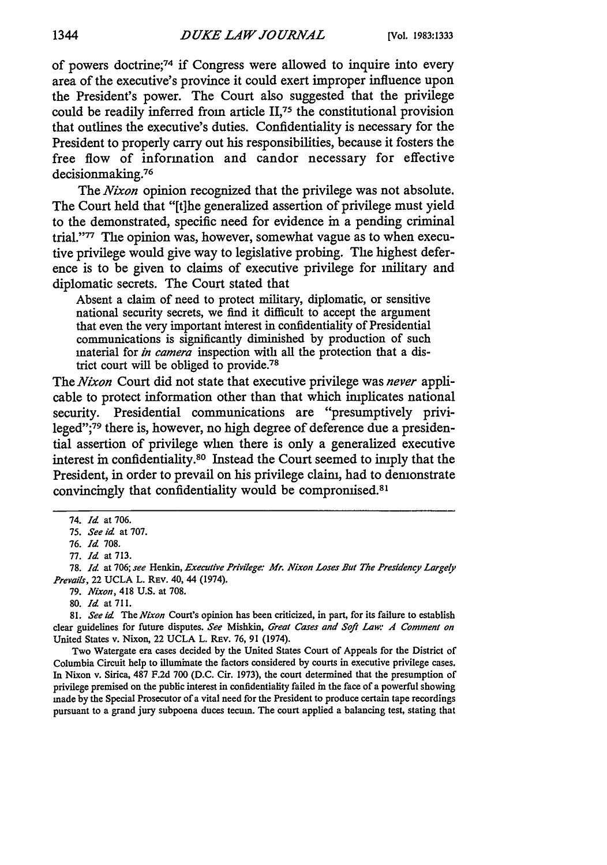of powers doctrine;74 if Congress were allowed to inquire into every area of the executive's province it could exert improper influence upon the President's power. The Court also suggested that the privilege could be readily inferred from article **II,75** the constitutional provision that outlines the executive's duties. Confidentiality is necessary for the President to properly carry out his responsibilities, because it fosters the free flow of information and candor necessary for effective decisionmaking.<sup>76</sup>

The *Nixon* opinion recognized that the privilege was not absolute. The Court held that "[t]he generalized assertion of privilege must yield to the demonstrated, specific need for evidence in a pending criminal trial."<sup>77</sup> The opinion was, however, somewhat vague as to when executive privilege would give way to legislative probing. The highest deference is to be given to claims of executive privilege for military and diplomatic secrets. The Court stated that

Absent a claim of need to protect military, diplomatic, or sensitive national security secrets, we find it difficult to accept the argument that even the very important interest in confidentiality of Presidential communications is significantly diminished **by** production of such material for *in camera* inspection with all the protection that a district court will be obliged to provide.<sup>78</sup>

The *Nixon* Court did not state that executive privilege was *never* applicable to protect information other than that which implicates national security. Presidential communications are "presumptively privileged";79 there is, however, no high degree of deference due a presidential assertion of privilege when there is only a generalized executive interest in confidentiality.80 Instead the Court seemed to imply that the President, in order to prevail on his privilege claim, had to demonstrate convincingly that confidentiality would be compromised.<sup>81</sup>

79. *Nixon,* 418 U.S. at 708.

Two Watergate era cases decided **by** the United States Court of Appeals for the District of Columbia Circuit help to illuminate the factors considered **by** courts in executive privilege cases. In Nixon v. Sirica, 487 **F.2d** 700 (D.C. Cir. 1973), the court determined that the presumption of privilege premised on the public interest in confidentiality failed in the face of a powerful showing made **by** the Special Prosecutor of a vital need for the President to produce certain tape recordings pursuant to a grand jury subpoena duces tecum. The court applied a balancing test, stating that

<sup>74.</sup> *Id* at 706.

*<sup>75.</sup> See id* at 707.

**<sup>76.</sup>** *Id* 708.

<sup>77.</sup> *Id* at 713.

**<sup>78.</sup>** *Id* **at** 706; *see* Henkin, *Executive Privilege: Mr. Nixon Loses But The Presidency Largely Prevails,* 22 UCLA L. REv. 40, 44 (1974).

<sup>80.</sup> *Id* at 711.

<sup>81.</sup> *See id* The *Nixon* Court's opinion has been criticized, in part, for its failure to establish clear guidelines for future disputes. *See Mishkin, Great Cases and Soft Law: A Comment on* United States v. Nixon, 22 UCLA L. REV. 76, 91 (1974).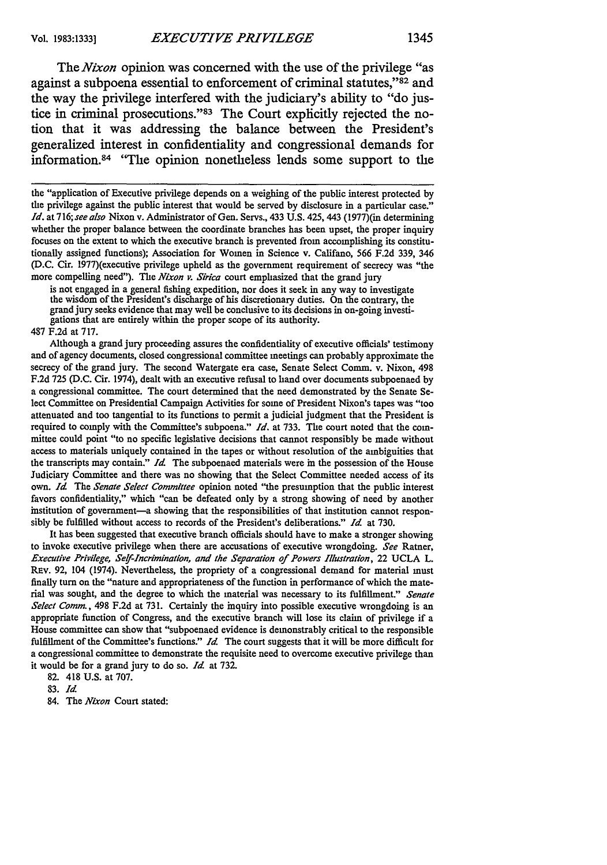*The Nixon* opinion was concerned with the use of the privilege "as against a subpoena essential to enforcement of criminal statutes,"82 and the way the privilege interfered with the judiciary's ability to "do justice in criminal prosecutions."<sup>83</sup> The Court explicitly rejected the notion that it was addressing the balance between the President's generalized interest in confidentiality and congressional demands for information.<sup>84</sup> "The opinion nonetheless lends some support to the

is not engaged in a general fishing expedition, nor does it seek in any way to investigate the wisdom of the President's discharge of his discretionary duties. On the contrary, the grand jury seeks evidence that may well be conclusive to its decisions in on-going investigations that are entirely within the proper scope of its authority.

487 F.2d at 717.

Although a grand jury proceeding assures the confidentiality of executive officials' testimony and of agency documents, closed congressional committee meetings can probably approximate the secrecy of the grand jury. The second Watergate era case, Senate Select Comm. v. Nixon, 498 F.2d 725 (D.C. Cir. 1974), dealt with an executive refusal to hand over documents subpoenaed by a congressional committee. The court determined that the need demonstrated by the Senate Select Committee on Presidential Campaign Activities for some of President Nixon's tapes was "too attenuated and too tangential to its functions to permit a judicial judgment that the President is required to comply with the Committee's subpoena." *Id.* at 733. The court noted that the committee could point "to no specific legislative decisions that cannot responsibly be made without access to materials uniquely contained in the tapes or without resolution of the ambiguities that the transcripts may contain." *Id* The subpoenaed materials were in the possession of the House Judiciary Committee and there was no showing that the Select Committee needed access of its own. *Id* The Senate Select *Committee* opinion noted "the presumption that the public interest favors confidentiality," which "can be defeated only by a strong showing of need by another institution of government-a showing that the responsibilities of that institution cannot responsibly be fulfilled without access to records of the President's deliberations." *Id* at 730.

It has been suggested that executive branch officials should have to make a stronger showing to invoke executive privilege when there are accusations of executive wrongdoing. *See* Ratner, *Executive Privilege, Self-Incrimination, and the Separation of Powers Illustration,* 22 UCLA L. REV. 92, 104 (1974). Nevertheless, the propriety of a congressional demand for material must finally turn on the "nature and appropriateness of the function in performance of which the material was sought, and the degree to which the material was necessary to its fulfillment." *Senate Select Comm.,* 498 F.2d at 731. Certainly the inquiry into possible executive wrongdoing is an appropriate function of Congress, and the executive branch will lose its claim of privilege if a House committee can show that "subpoenaed evidence is demonstrably critical to the responsible fulfillment of the Committee's functions." *Id.* The court suggests that it will be more difficult for a congressional committee to demonstrate the requisite need to overcome executive privilege than it would be for a grand jury to do so. *Id* at 732.

82. 418 U.S. at 707.

**83.** *Id*

84. The *Nixon* Court stated:

the "application of Executive privilege depends on a weighing of the public interest protected by the privilege against the public interest that would be served by disclosure in a particular case." *Id.* at 716; *see also* Nixon v. Administrator of Gen. Servs., 433 U.S. 425, 443 (1977)(in determining whether the proper balance between the coordinate branches has been upset, the proper inquiry focuses on the extent to which the executive branch is prevented from accomplishing its constitutionally assigned functions); Association for Women in Science v. Califano, 566 F.2d 339, 346 (D.C. Cir. 1977)(executive privilege upheld as the government requirement of secrecy was "the more compelling need"). The *Nixon v. Sirica* court emphasized that the grand jury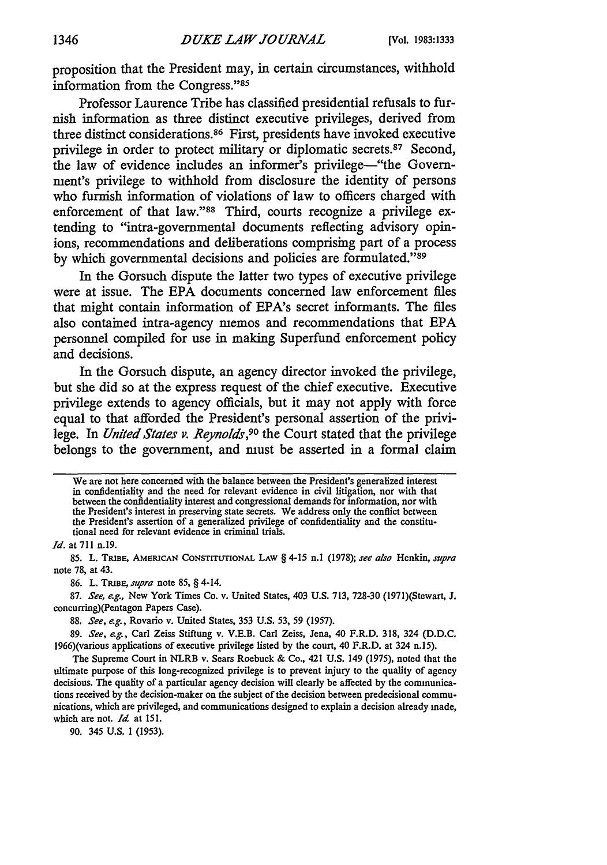proposition that the President may, in certain circumstances, withhold information from the Congress."85

Professor Laurence Tribe has classified presidential refusals to furnish information as three distinct executive privileges, derived from three distinct considerations. 86 First, presidents have invoked executive privilege in order to protect military or diplomatic secrets.<sup>87</sup> Second, the law of evidence includes an informer's privilege-"the Government's privilege to withhold from disclosure the identity of persons who furnish information of violations of law to officers charged with enforcement of that law."<sup>88</sup> Third, courts recognize a privilege extending to "intra-govemmental documents reflecting advisory opinions, recommendations and deliberations comprising part of a process by which governmental decisions and policies are formulated."<sup>89</sup>

In the Gorsuch dispute the latter two types of executive privilege were at issue. The **EPA** documents concerned law enforcement **ifies** that might contain information of EPA's secret informants. The files also contained intra-agency memos and recommendations that **EPA** personnel compiled for use in making Superfund enforcement policy and decisions.

In the Gorsuch dispute, an agency director invoked the privilege, but she did so at the express request of the chief executive. Executive privilege extends to agency officials, but it may not apply with force equal to that afforded the President's personal assertion of the privilege. In *United States v. Reynolds,90* the Court stated that the privilege belongs to the government, and must be asserted in a formal claim

We are not here concerned with the balance between the President's generalized interest in confidentiality and the need for relevant evidence in civil litigation, nor with that between the confidentiality interest and congressional demands for information, nor with the President's interest in preserving state secrets. We address only the conflict between the President's assertion of a generalized privilege of confidentiality and the constitutional need for relevant evidence in criminal trials.

*Id.* at **711** n.19.

**85.** L. **TRIBE, AMERICAN CONSTITUTIONAL LAW §** 4-15 **n.l (1978);** *see also* Henkin, *supra* note **78,** at 43.

**86.** L. **TIUBE,** *supra* note **85, §** 4-14.

**87.** *See, e.g.,* New York Times Co. v. United States, 403 **U.S. 713, 728-30** (1971)(Stewart, **J.** concurring)(Pentagon Papers Case).

**88.** *See, e.g.,* Rovario v. United States, **353 U.S. 53, 59 (1957).**

**89.** *See, e.g.,* Carl Zeiss Stiftung v. V.E.B. Carl Zeiss, Jena, 40 F.R.D. **318,** 324 **(D.D.C.** 1966)(various applications of executive privilege listed **by** the court, 40 F.R.D. at 324 n. **15).**

The Supreme Court in NLRB v. Sears Roebuck **&** Co., 421 **U.S.** 149 **(1975),** noted that the ultimate purpose of this long-recognized privilege is to prevent injury to the quality of agency decisions. The quality of a particular agency decision will clearly be affected **by** the communications received **by** the decision-maker on the subject of the decision between predecisional communications, which are privileged, and communications designed to explain a decision already made, which are not. *Id* at **151.**

**90.** 345 **U.S. 1 (1953).**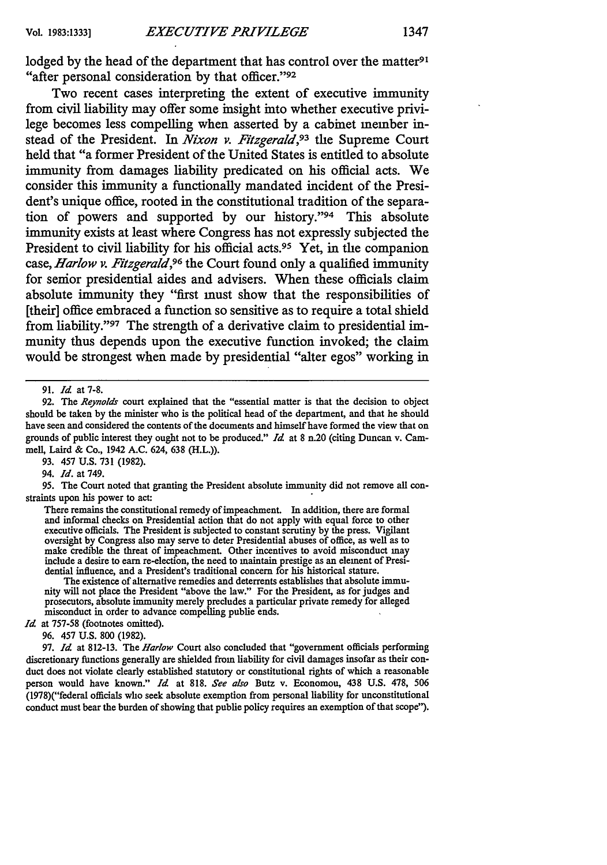lodged by the head of the department that has control over the matter<sup>91</sup> "after personal consideration by that officer."<sup>92</sup>

Two recent cases interpreting the extent of executive immunity from civil liability may offer some insight into whether executive privilege becomes less compelling when asserted **by** a cabinet member instead of the President. In *Nixon v. Fitzgerald,93* the Supreme Court held that "a former President of the United States is entitled to absolute immunity from damages liability predicated on his official acts. We consider this immunity a functionally mandated incident of the President's unique office, rooted in the constitutional tradition of the separation of powers and supported by our history."<sup>94</sup> This absolute immunity exists at least where Congress has not expressly subjected the President to civil liability for his official acts.<sup>95</sup> Yet, in the companion case, *Harlow v. Fitzgerald,96* the Court found only a qualified immunity for senior presidential aides and advisers. When these officials claim absolute immunity they "first must show that the responsibilities of [their] office embraced a function so sensitive as to require a total shield from liability."97 The strength of a derivative claim to presidential immunity thus depends upon the executive function invoked; the claim would be strongest when made **by** presidential "alter egos" working in

**92.** The *Reynolds* court explained that the "essential matter is that the decision to object should be taken **by** the minister who is the political head of the department, and that he should have seen and considered the contents of the documents and himself have formed the view that on grounds of public interest they ought not to be produced." *Id* at 8 n.20 (citing Duncan v. Cammell, Laird & Co., 1942 A.C. 624, **638** (H.L.)).

**93.** 457 **U.S. 731** (1982).

94. *Id.* at 749.

**95.** The Court noted that granting the President absolute immunity did not remove all constraints upon his power to act:

There remains the constitutional remedy of impeachment. In addition, there are formal and informal checks on Presidential action that do not apply with equal force to other executive officials. The President is subjected to constant scrutiny **by** the press. Vigilant oversight **by** Congress also may serve to deter Presidential abuses of office, as well as to make credible the threat of impeachment. Other incentives to avoid misconduct may include a desire to earn re-election, the need to maintain prestige as an element of Presidential influence, and a President's traditional concern for his historical stature.

The existence of alternative remedies and deterrents establishes that absolute immunity will not place the President "above the law." For the President, as for judges and prosecutors, absolute immunity merely precludes a particular private remedy for alleged misconduct in order to advance compelling public ends.

Id. at 757-58 (footnotes omitted).

**96.** 457 **U.S.** 800 (1982).

**97.** *Id* at **812-13.** The *Harlow* Court also concluded that "government officials performing discretionary functions generally are shielded from liability for civil damages insofar as their conduct does not violate clearly established statutory or constitutional rights of which a reasonable person would have known." *Id* at **818.** *See also* Butz v. Economou, 438 **U.S. 478,** 506 (1978)("federal officials who seek absolute exemption from personal liability for unconstitutional conduct must bear the burden of showing that public policy requires an exemption of that scope").

**<sup>91.</sup>** *Id* at **7-8.**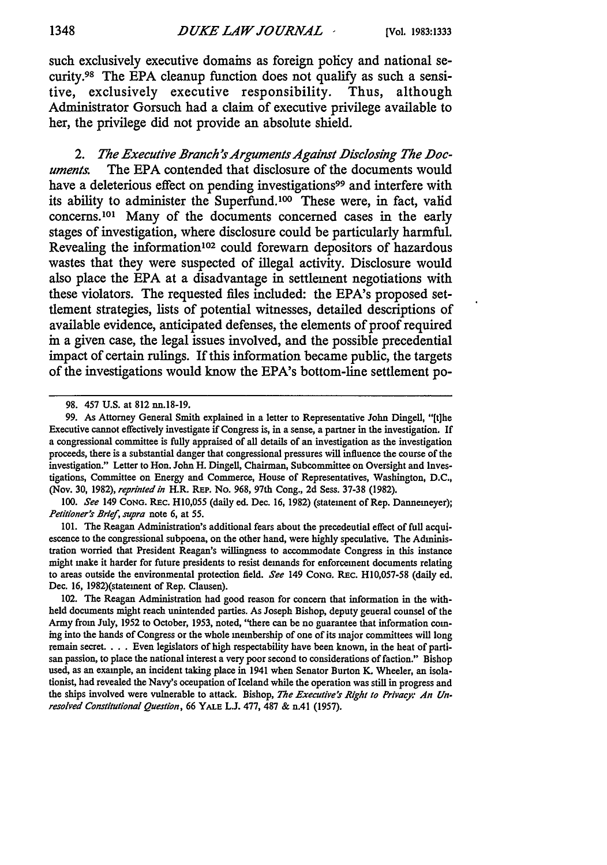such exclusively executive domains as foreign policy and national security.98 The **EPA** cleanup function does not qualify as such a sensitive, exclusively executive responsibility. Thus, although Administrator Gorsuch had a claim of executive privilege available to her, the privilege did not provide an absolute shield.

*2. The Executive Branch's Arguments Against Disclosing The Doc***uments.** The **EPA** contended that disclosure of the documents would have a deleterious effect on pending investigations<sup>99</sup> and interfere with its ability to administer the Superfund.<sup>100</sup> These were, in fact, valid concerns. 101 Many of the documents concerned cases in the early stages of investigation, where disclosure could be particularly harmful. Revealing the information'02 could forewarn depositors of hazardous wastes that they were suspected of illegal activity. Disclosure would also place the **EPA** at a disadvantage in settlement negotiations with these violators. The requested files included: the EPA's proposed settlement strategies, lists of potential witnesses, detailed descriptions of available evidence, anticipated defenses, the elements of proof required in a given case, the legal issues involved, and the possible precedential impact of certain rulings. If this information became public, the targets of the investigations would know the EPA's bottom-line settlement **po-**

*100.* See 149 **CONG.** REc. **H10,055** (daily ed. Dec. 16, 1982) (statement of Rep. Dannemeyer); *Petitioner'r* Brief, supra note 6, at 55.

101. The Reagan Administration's additional fears about the precedential effect of full acquiescence to the congressional subpoena, on the other hand, were highly speculative. The Administration worried that President Reagan's willingness to accommodate Congress in this instance might make it harder for future presidents to resist demands for enforcement documents relating to areas outside the environmental protection field. See 149 **CONG.** REc. H10,057-58 (daily ed. Dec. 16, 1982)(statement of Rep. Clausen).

102. The Reagan Administration had good reason for concern that information in the withheld documents might reach unintended parties. As Joseph Bishop, deputy general counsel of the Army from July, 1952 to October, 1953, noted, "there can be no guarantee that information coming into the hands of Congress or the whole membership of one of its major committees will long remain secret. . . . Even legislators of high respectability have been known, in the heat of partisan passion, to place the national interest a very poor second to considerations of faction." Bishop used, as an example, an incident taking place in 1941 when Senator Burton K. Wheeler, an isolationist, had revealed the Navy's occupation of Iceland while the operation was still in progress and the ships involved were vulnerable to attack. Bishop, *The* **Executive's** Right to **Privacy.-** An Unresolved Constitutional Question, **66** YALE **L.J.** 477, 487 & n.41 (1957).

<sup>98. 457</sup> U.S. at 812 nn.18-19.

**<sup>99.</sup>** As Attorney General Smith explained in a letter to Representative John Dingell, "[t]he Executive cannot effectively investigate if Congress is, in a sense, a partner in the investigation. If a congressional committee is fully appraised of all details of an investigation as the investigation proceeds, there is a substantial danger that congressional pressures will influence the course of the investigation." Letter to Hon. John H. Dingell, Chairman, Subcommittee on Oversight and Investigations, Committee on Energy and Commerce, House of Representatives, Washington, D.C., (Nov. 30, 1982), reprinted in H.R. REP. No. 968, 97th Cong., 2d Sess. 37-38 (1982).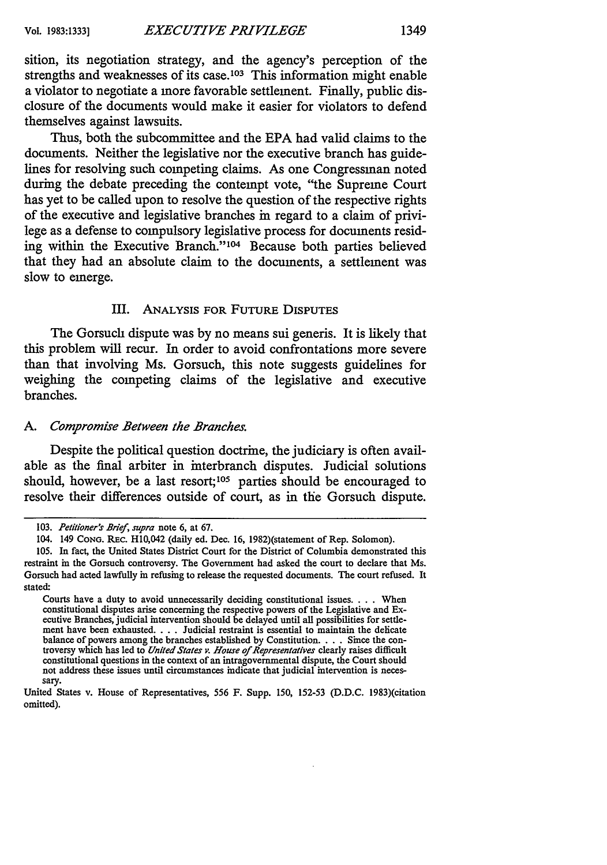sition, its negotiation strategy, and the agency's perception of the strengths and weaknesses of its case. **103** This information might enable a violator to negotiate a more favorable settlement. Finally, public disclosure of the documents would make it easier for violators to defend themselves against lawsuits.

Thus, both the subcommittee and the **EPA** had valid claims to the documents. Neither the legislative nor the executive branch has guidelines for resolving such competing claims. As one Congressman noted during the debate preceding the contempt vote, "the Supreme Court has yet to be called upon to resolve the question of the respective rights of the executive and legislative branches in regard to a claim of privilege as a defense to compulsory legislative process for documents residing within the Executive Branch."<sup>104</sup> Because both parties believed that they had an absolute claim to the documents, a settlement was slow to emerge.

#### III. ANALYSIS FOR FUTURE DISPUTES

The Gorsuch dispute was **by** no means sui generis. It is likely that this problem will recur. In order to avoid confrontations more severe than that involving Ms. Gorsuch, this note suggests guidelines for weighing the competing claims of the legislative and executive branches.

#### *A. Compromise Between the Branches.*

Despite the political question doctrine, the judiciary is often available as the final arbiter in interbranch disputes. Judicial solutions should, however, be a last resort;<sup>105</sup> parties should be encouraged to resolve their differences outside of court, as in the Gorsuch dispute.

<sup>103.</sup> Petitioner's Brief, supra note 6, at 67.

<sup>104. 149</sup> **CONG.** REc. H10,042 (daily ed. Dec. 16, 1982)(statement of Rep. Solomon).

<sup>105.</sup> In fact, the United States District Court for the District of Columbia demonstrated this restraint in the Gorsuch controversy. The Government had asked the court to declare that Ms. Gorsuch had acted lawfully in refusing to release the requested documents. The court refused. It stated:

Courts have a duty to avoid unnecessarily deciding constitutional issues... . When constitutional disputes arise concerning the respective powers of the Legislative and Ex-ecutive Branches, judicial intervention should be delayed until all possibilities for settlement have been exhausted **....** Judicial restraint is essential to maintain the delicate balance of powers among the branches established **by** Constitution .... Since the con-troversy which has led to *United States v. House of Representatives* clearly raises difficult constitutional questions in the context of an intragovernmental dispute, the Court should not address these issues until circumstances indicate that judicial intervention is necessary.

United States v. House of Representatives, 556 F. Supp. 150, 152-53 (D.D.C. 1983)(citation omitted).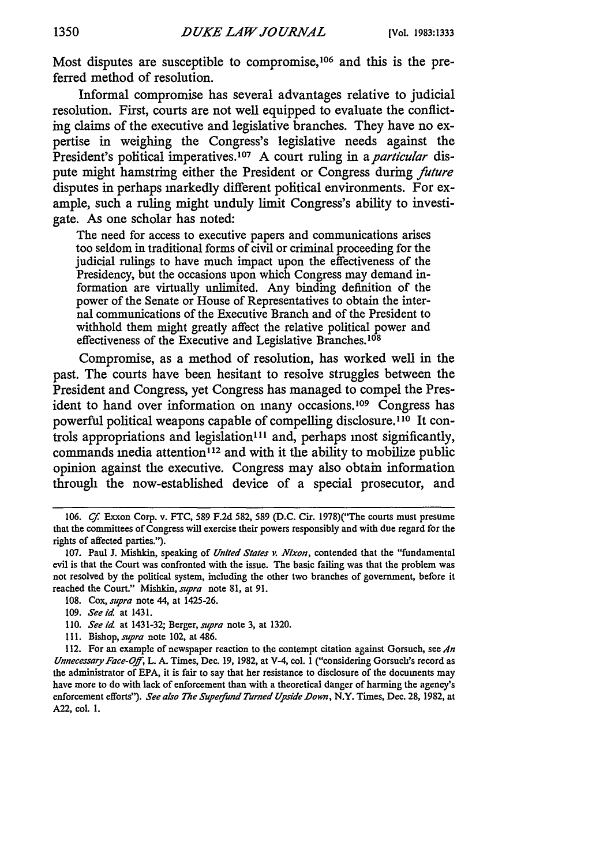Most disputes are susceptible to compromise,<sup>106</sup> and this is the preferred method of resolution.

Informal compromise has several advantages relative to judicial resolution. First, courts are not well equipped to evaluate the conflicting claims of the executive and legislative branches. They have no expertise in weighing the Congress's legislative needs against the President's political imperatives.<sup>107</sup> A court ruling in a *particular* dispute might hamstring either the President or Congress during *future* disputes in perhaps markedly different political environments. For example, such a ruling might unduly limit Congress's ability to investigate. As one scholar has noted:

The need for access to executive papers and communications arises too seldom in traditional forms of civil or criminal proceeding for the judicial rulings to have much impact upon the effectiveness of the Presidency, but the occasions upon which Congress may demand information are virtually unlimited. Any binding definition of the power of the Senate or House of Representatives to obtain the internal communications of the Executive Branch and of the President to withhold them might greatly affect the relative political power and effectiveness of the Executive and Legislative Branches.<sup>108</sup>

Compromise, as a method of resolution, has worked well in the past. The courts have been hesitant to resolve struggles between the President and Congress, yet Congress has managed to compel the President to hand over information on many occasions.<sup>109</sup> Congress has powerful political weapons capable of compelling disclosure.<sup>110</sup> It controls appropriations and legislation<sup>111</sup> and, perhaps most significantly, commands inedia attention<sup>112</sup> and with it the ability to mobilize public opinion against the executive. Congress may also obtain information through the now-established device of a special prosecutor, and

*<sup>106.</sup> Cf* Exxon Corp. v. **FTC, 589 F.2d 582, 589 (D.C. Cir.** 1978)("The courts must presume that the committees of Congress will exercise their powers responsibly and with due regard for the rights of affected parties.").

**<sup>107.</sup>** Paul **J.** Mishkin, speaking of *United States v. Nixon,* contended that the "fundamental evil is that the Court was confronted with the issue. The basic failing was that the problem was not resolved **by** the political system, including the other two branches of government, before it reached the Court." Mishkin, *supra* note **81,** at **91.**

**<sup>108.</sup>** Cox, *supra* note 44, at 1425-26.

**<sup>109.</sup>** *See id* at **1431.**

**<sup>110.</sup>** *See id* at 1431-32; Berger, *supra* note **3,** at **1320.**

**<sup>111.</sup>** Bishop, *supra* note 102, at 486.

<sup>112.</sup> For an example of newspaper reaction to the contempt citation against Gorsuch, see *An Unnecessary Face-Off,* L. **A.** Times, Dec. **19, 1982,** at V-4, col. **1** ("considering Gorsuch's record as the administrator of **EPA,** it is fair to say that her resistance to disclosure of the documents may have more to do with lack of enforcement than with a theoretical danger of harming the agency's enforcement efforts"). *See also The Supefund Turned Upside Down,* N.Y. Times, Dec. **28, 1982,** at **A22,** col. **1.**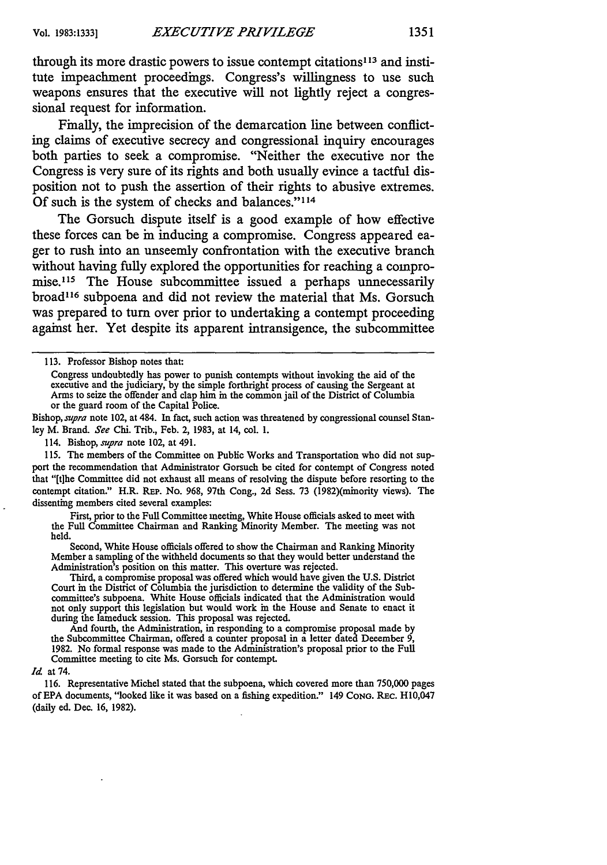through its more drastic powers to issue contempt citations<sup>113</sup> and institute impeachment proceedings. Congress's willingness to use such weapons ensures that the executive will not lightly reject a congressional request for information.

Finally, the imprecision of the demarcation line between conflicting claims of executive secrecy and congressional inquiry encourages both parties to seek a compromise. "Neither the executive nor the Congress is very sure of its rights and both usually evince a tactful disposition not to push the assertion of their rights to abusive extremes. Of such is the system of checks and balances."<sup>114</sup>

The Gorsuch dispute itself is a good example of how effective these forces can be in inducing a compromise. Congress appeared eager to rush into an unseemly confrontation with the executive branch without having fully explored the opportunities for reaching a compromise.<sup>115</sup> The House subcommittee issued a perhaps unnecessarily broad<sup>116</sup> subpoena and did not review the material that Ms. Gorsuch was prepared to turn over prior to undertaking a contempt proceeding against her. Yet despite its apparent intransigence, the subcommittee

Bishop, *supra* note 102, at 484. In fact, such action was threatened **by** congressional counsel Stan**ley** M. Brand. *See* Chi. Trib., Feb. 2, **1983,** at 14, col. **1.**

114. Bishop, *supra* note 102, at 491.

**115.** The members of the Committee on Public Works and Transportation who did not support the recommendation that Administrator Gorsuch be cited for contempt of Congress noted that "[t]he Committee did not exhaust all means of resolving the dispute before resorting to the contempt citation." H.R. REP. No. 968, 97th Cong., **2d** Sess. 73 (1982)(minority views). The dissenting members cited several examples:

First, prior to the Full Committee meeting, White House officials asked to meet with the Full Committee Chairman and Ranking Minority Member. The meeting was not held.

Second, White House officials offered to show the Chairman and Ranking Minority Member a sampling of the withheld documents so that they would better understand the Administration's position on this matter. This overture was rejected.

Third, a compromise proposal was offered which would have given the **U.S.** District Court in the District of Columbia the jurisdiction to determine the validity of the Subcommittee's subpoena. White House officials indicated that the Administration would not only support this legislation but would work in the House and Senate to enact **it** during the lameduck session. This proposal was rejected.

And fourth, the Administration, in responding to a compromise proposal made by the Subcommittee Chairman, offered a counter proposal in a letter dated December 9, 1982. No formal response was made to the Administration's proposal prior to the Full Committee meeting to cite Ms. Gorsuch for contempt.

#### *Id* at 74.

116. Representative Michel stated that the subpoena, which covered more than 750,000 pages of EPA documents, "looked like it was based on a fishing expedition." 149 CONG. REc. H10,047 (daily ed. Dec. 16, 1982).

<sup>113.</sup> Professor Bishop notes that:

Congress undoubtedly has power to punish contempts without invoking the aid of the executive and the judiciary, **by** the simple forthright process of causing the Sergeant at Arms to seize the offender and clap him in the common jail of the District of Columbia or the guard room of the Capital Police.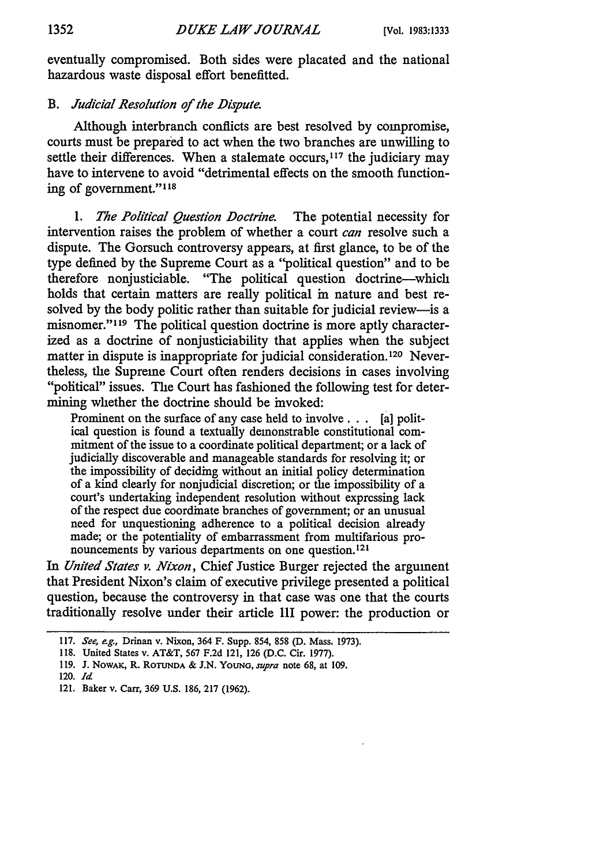eventually compromised. Both sides were placated and the national hazardous waste disposal effort benefitted.

#### *B. Judicial Resolution of the Dispute.*

Although interbranch conflicts are best resolved by compromise, courts must be prepared to act when the two branches are unwilling to settle their differences. When a stalemate occurs,<sup>117</sup> the judiciary may have to intervene to avoid "detrimental effects on the smooth functioning of government."<sup>118</sup>

*1. The Political Question Doctrine.* The potential necessity for intervention raises the problem of whether a court *can* resolve such a dispute. The Gorsuch controversy appears, at first glance, to be of the type defined by the Supreme Court as a "political question" and to be therefore nonjusticiable. "The political question doctrine-which holds that certain matters are really political in nature and best resolved by the body politic rather than suitable for judicial review-is a misnomer."<sup>119</sup> The political question doctrine is more aptly characterized as a doctrine of nonjusticiability that applies when the subject matter in dispute is inappropriate for judicial consideration. 120 Nevertheless, the Supreme Court often renders decisions in cases involving "political" issues. The Court has fashioned the following test for determining whether the doctrine should be invoked:

Prominent on the surface of any case held to involve **...** [a] political question is found a textually demonstrable constitutional commitment of the issue to a coordinate political department; or a lack of judicially discoverable and manageable standards for resolving it; or the impossibility of deciding without an initial policy determination of a kind clearly for nonjudicial discretion; or the impossibility of a court's undertaking independent resolution without expressing lack of the respect due coordinate branches of government; or an unusual need for unquestioning adherence to a political decision already made; or the potentiality of embarrassment from multifarious pronouncements by various departments on one question.<sup>121</sup>

*In United States v. Nixon,* Chief Justice Burger rejected the argument that President Nixon's claim of executive privilege presented a political question, because the controversy in that case was one that the courts traditionally resolve under their article III power: the production or

**<sup>117.</sup>** *See, e.g.,* Drinan v. Nixon, 364 F. Supp. 854, 858 **(D.** Mass. **1973).**

**<sup>118.</sup>** United States v. AT&T, **567 F.2d** 121, **126 (D.C.** Cir. 1977).

**<sup>119.</sup> J.** NowAx, R. **ROTUNDA &** J.N. YOUNG, *supra* note 68, at 109.

<sup>120.</sup> *Id*

<sup>121.</sup> Baker v. Carr, 369 U.S. 186, 217 (1962).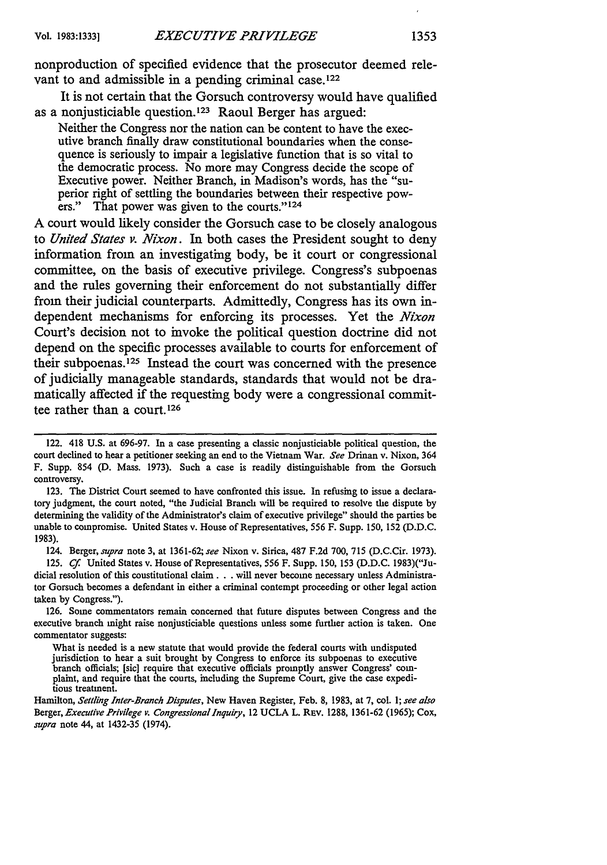nonproduction of specified evidence that the prosecutor deemed relevant to and admissible in a pending criminal case.<sup>122</sup>

It is not certain that the Gorsuch controversy would have qualified as a nonjusticiable question.<sup>123</sup> Raoul Berger has argued:

Neither the Congress nor the nation can be content to have the executive branch finally draw constitutional boundaries when the consequence is seriously to impair a legislative function that is so vital to the democratic process. No more may Congress decide the scope of Executive power. Neither Branch, in Madison's words, has the "superior right of settling the boundaries between their respective powers." That power was given to the courts."<sup>124</sup>

A court would likely consider the Gorsuch case to be closely analogous to *United States v. Nixon.* In both cases the President sought to deny information from an investigating body, be it court or congressional committee, on the basis of executive privilege. Congress's subpoenas and the rules governing their enforcement do not substantially differ from their judicial counterparts. Admittedly, Congress has its own independent mechanisms for enforcing its processes. Yet the *Nixon* Court's decision not to invoke the political question doctrine did not depend on the specific processes available to courts for enforcement of their subpoenas. 25 Instead the court was concerned with the presence of judicially manageable standards, standards that would not be dramatically affected if the requesting body were a congressional committee rather than a court.<sup>126</sup>

123. The District Court seemed to have confronted this issue. In refusing to issue a declaratory judgment, the court noted, "the Judicial Branch will be required to resolve the dispute by determining the validity of the Administrator's claim of executive privilege" should the parties be unable to compromise. United States v. House of Representatives, 556 F. Supp. 150, 152 (D.D.C. 1983).

124. Berger, *supra* note 3, at 1361-62; *see* Nixon v. Sirica, 487 F.2d 700, 715 (D.C.Cir. 1973).

125. *Cf.* United States v. House of Representatives, 556 F. Supp. 150, 153 (D.D.C. 1983)("Judicial resolution of this constitutional claim. **. .** will never become necessary unless Administrator Gorsuch becomes a defendant in either a criminal contempt proceeding or other legal action taken by Congress.").

126. Some commentators remain concerned that future disputes between Congress and the executive branch might raise nonjusticiable questions unless some further action is taken. One commentator suggests:

<sup>122. 418</sup> U.S. at 696-97. In a case presenting a classic nonjusticiable political question, the court declined to hear a petitioner seeking an end to the Vietnam War. *See* Drinan v. Nixon, 364 F. Supp. 854 **(D.** Mass. 1973). Such a case is readily distinguishable from the Gorsuch controversy.

What is needed is a new statute that would provide the federal courts with undisputed jurisdiction to hear a suit brought by Congress to enforce its subpoenas to executive plaint, and require that the courts, including the Supreme Court, give the case expeditious treatment.

Hamilton, *Settling Inter-Branch Disputes,* New Haven Register, Feb. **8,** 1983, at 7, col. 1; *see also* Berger, *Executive Privilege v. Congressional Inquiry*, 12 UCLA L. REv. 1288, 1361-62 (1965); Cox, *supra* note 44, at 1432-35 (1974).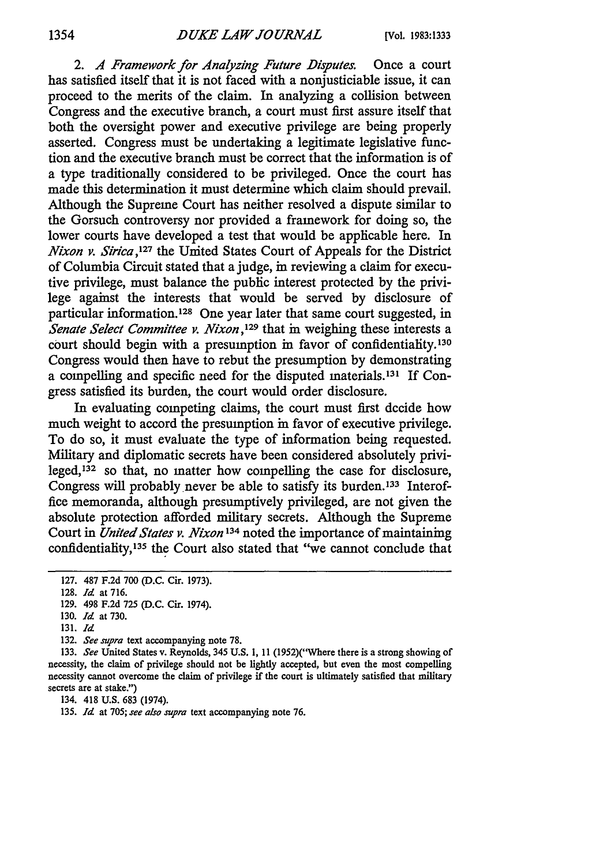2. *A Framework for Analyzing Future Disputes.* Once a court has satisfied itself that it is not faced with a nonjusticiable issue, it can proceed to the merits of the claim. In analyzing a collision between Congress and the executive branch, a court must first assure itself that both the oversight power and executive privilege are being properly asserted. Congress must be undertaking a legitimate legislative function and the executive branch must be correct that the information is of a type traditionally considered to be privileged. Once the court has made this determination it must determine which claim should prevail. Although the Supreme Court has neither resolved a dispute similar to the Gorsuch controversy nor provided a framework for doing so, the lower courts have developed a test that would be applicable here. In *Nixon v. Sirica*,<sup>127</sup> the United States Court of Appeals for the District of Columbia Circuit stated that a judge, in reviewing a claim for executive privilege, must balance the public interest protected by the privilege against the interests that would be served by disclosure of particular information.<sup>128</sup> One year later that same court suggested, in *Senate Select Committee v. Nixon*,<sup>129</sup> that in weighing these interests a court should begin with a presumption in favor of confidentiality.130 Congress would then have to rebut the presumption by demonstrating a compelling and specific need for the disputed materials. 131 If Congress satisfied its burden, the court would order disclosure.

In evaluating competing claims, the court must first decide how much weight to accord the presumption in favor of executive privilege. To do so, it must evaluate the type of information being requested. Military and diplomatic secrets have been considered absolutely privileged, 32 so that, no matter how compelling the case for disclosure, Congress will probably never be able to satisfy its burden.<sup>133</sup> Interoffice memoranda, although presumptively privileged, are not given the absolute protection afforded military secrets. Although the Supreme Court in *United States v. Nixon* **134** noted the importance of maintaining confidentiality,<sup>135</sup> the Court also stated that "we cannot conclude that

**132.** *See supra* text accompanying note **78.**

133. *See* United States v. Reynolds, 345 U.S. 1, 11 (1952)("Where there is a strong showing of necessity, the claim of privilege should not be lightly accepted, but even the most compelling necessity cannot overcome the claim of privilege if the court is ultimately satisfied that military secrets are at stake.")

134. 418 U.S. 683 (1974).

135. *Id* at 705; *see also supra* text accompanying note 76.

<sup>127. 487</sup> F.2d 700 (D.C. Cir. 1973).

<sup>128.</sup> *Id* at 716.

<sup>129. 498</sup> F.2d 725 (D.C. Cir. 1974).

<sup>130.</sup> *Id* at 730.

<sup>131.</sup> *Id*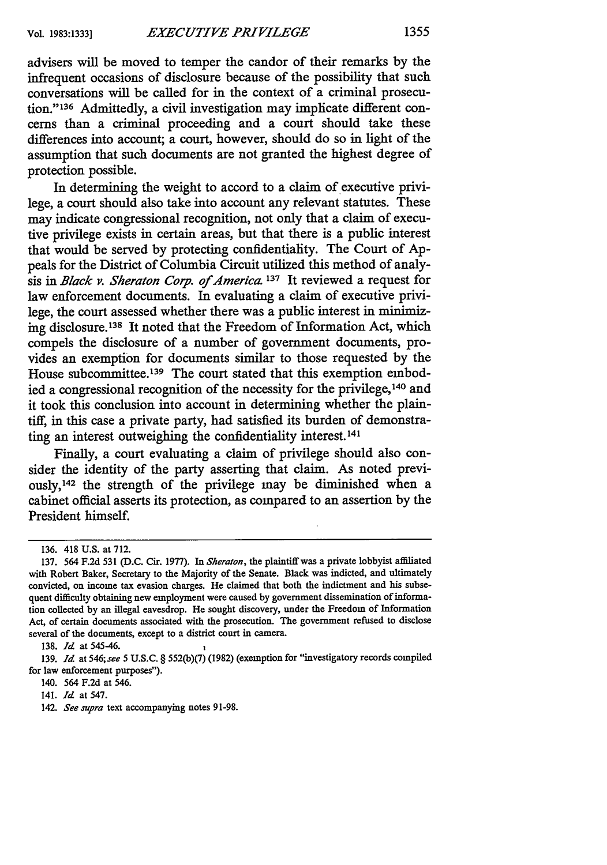advisers will be moved to temper the candor of their remarks by the infrequent occasions of disclosure because of the possibility that such conversations will be called for in the context of a criminal prosecution." 136 Admittedly, a civil investigation may implicate different concerns than a criminal proceeding and a court should take these differences into account; a court, however, should do so in light of the assumption that such documents are not granted the highest degree of protection possible.

In determining the weight to accord to a claim of executive privilege, a court should also take into account any relevant statutes. These may indicate congressional recognition, not only that a claim of executive privilege exists in certain areas, but that there is a public interest that would be served by protecting confidentiality. The Court of Appeals for the District of Columbia Circuit utilized this method of analysis in *Black v. Sheraton Corp. of America.* **137** It reviewed a request for law enforcement documents. In evaluating a claim of executive privilege, the court assessed whether there was a public interest in minimizing disclosure. **138** It noted that the Freedom of Information Act, which compels the disclosure of a number of government documents, provides an exemption for documents similar to those requested by the House subcommittee.<sup>139</sup> The court stated that this exemption embodied a congressional recognition of the necessity for the privilege,140 and it took this conclusion into account in determining whether the plaintiff, in this case a private party, had satisfied its burden of demonstrating an interest outweighing the confidentiality interest. <sup>141</sup>

Finally, a court evaluating a claim of privilege should also consider the identity of the party asserting that claim. As noted previously, 142 the strength of the privilege may be diminished when a cabinet official asserts its protection, as compared to an assertion by the President himself.

<sup>136. 418</sup> U.S. at 712.

<sup>137. 564</sup> F.2d 531 (D.C. Cir. 1977). In *Sheraton,* the plaintiff was a private lobbyist affiliated with Robert Baker, Secretary to the Majority of the Senate. Black was indicted, and ultimately convicted, on income tax evasion charges. He claimed that both the indictment and his subsequent difficulty obtaining new employment were caused by government dissemination of information collected by an illegal eavesdrop. He sought discovery, under the Freedom of Information Act, of certain documents associated with the prosecution. The government refused to disclose several of the documents, except to a district court in camera.

<sup>138.</sup> *Id* at 545-46.

<sup>139.</sup> *Id* at 546; *see* 5 U.S.C. § 552(b)(7) (1982) (exemption for "investigatory records compiled for law enforcement purposes").

<sup>140. 564</sup> F.2d at 546.

<sup>141.</sup> *Id* at 547.

<sup>142.</sup> *See supra* text accompanying notes 91-98.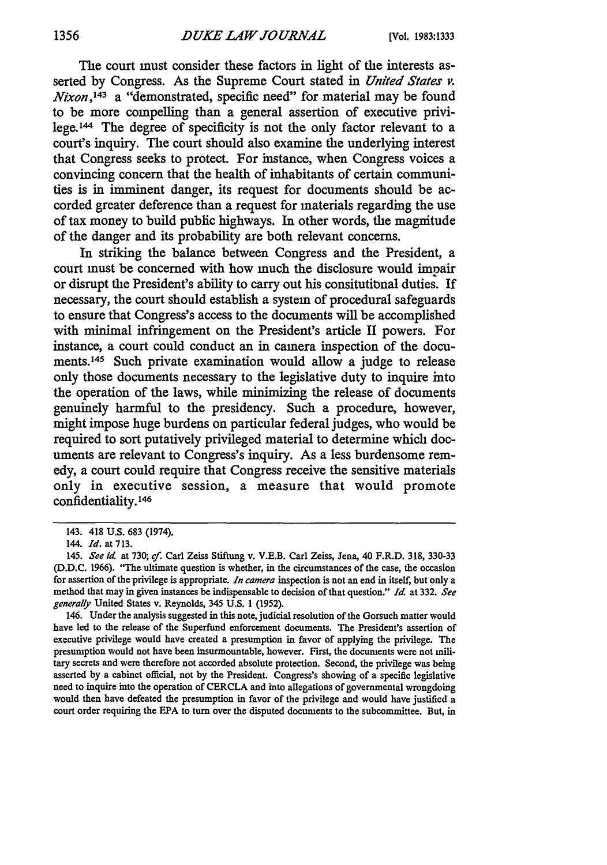The court must consider these factors in light of the interests asserted **by** Congress. As the Supreme Court stated in *United States v. Nixon, t43* a "demonstrated, specific need" for material may be found to be more compelling than a general assertion of executive privilege.144 The degree of specificity is not the only factor relevant to a court's inquiry. The court should also examine the underlying interest that Congress seeks to protect. For instance, when Congress voices a convincing concern that the health of inhabitants of certain communities is in imminent danger, its request for documents should be accorded greater deference than a request for materials regarding the use of tax money to build public highways. In other words, the magnitude of the danger and its probability are both relevant concerns.

In striking the balance between Congress and the President, a court must be concerned with how much the disclosure would impair or disrupt the President's ability to carry out his consitutibnal duties. If necessary, the court should establish a system of procedural safeguards to ensure that Congress's access to the documents will be accomplished with minimal infringement on the President's article **II** powers. For instance, a court could conduct an in camera inspection of the documents.145 Such private examination would allow a judge to release only those documents necessary to the legislative duty to inquire into the operation of the laws, while minimizing the release of documents genuinely harmful to the presidency. Such a procedure, however, might impose huge burdens on particular federal judges, who would be required to sort putatively privileged material to determine which documents are relevant to Congress's inquiry. As a less burdensome remedy, a court could require that Congress receive the sensitive materials only in executive session, a measure that would promote confidentiality. <sup>146</sup>

146. Under the analysis suggested in this note, judicial resolution of the Gorsuch matter would have led to the release of the Superfund enforcement documents. The President's assertion of executive privilege would have created a presumption in favor of applying the privilege. The presumption would not have been insurmountable, however. First, the documents were not **mili**tary secrets and were therefore not accorded absolute protection. Second, the privilege was being asserted **by** a cabinet official, not **by** the President. Congress's showing of a specific legislative need to inquire into the operation of CERCLA and into allegations of governmental wrongdoing would then have defeated the presumption in favor of the privilege and would have justified a court order requiring the **EPA** to turn over the disputed documents to the subcommittee. But, in

<sup>143. 418</sup> **U.S.** 683 (1974).

<sup>144.</sup> *Id.* at 713.

<sup>145.</sup> *See id.* at 730; *cf.* Carl Zeiss Stiftung v. V.E.B. Carl Zeiss, Jena, 40 F.R.D. 318, 330-33 **(D.D.C. 1966).** "The ultimate question is whether, in the circumstances of the case, the occasion for assertion of the privilege is appropriate. *In camera* inspection is not an end in **itself,** but only a method that may in given instances be indispensable to decision of that question." *Id* at 332. *See generally* United States v. Reynolds, 345 **U.S.** 1 (1952).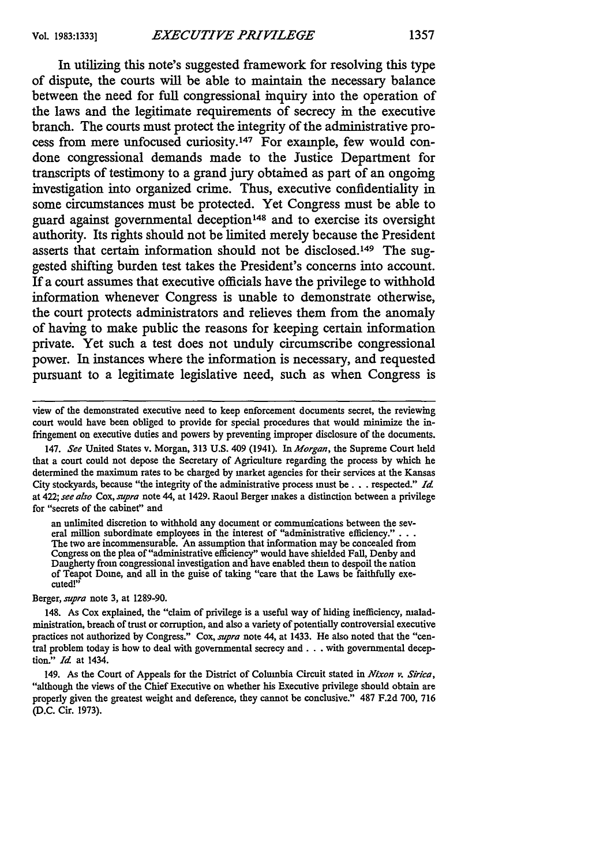In utilizing this note's suggested framework for resolving this type of dispute, the courts will be able to maintain the necessary balance between the need for full congressional inquiry into the operation of the laws and the legitimate requirements of secrecy in the executive branch. The courts must protect the integrity of the administrative process from mere unfocused curiosity.<sup>147</sup> For example, few would condone congressional demands made to the Justice Department for transcripts of testimony to a grand jury obtained as part of an ongoing investigation into organized crime. Thus, executive confidentiality in some circumstances must be protected. Yet Congress must be able to guard against governmental deception<sup>148</sup> and to exercise its oversight authority. Its rights should not be limited merely because the President asserts that certain information should not be disclosed.<sup>149</sup> The suggested shifting burden test takes the President's concerns into account. If a court assumes that executive officials have the privilege to withhold information whenever Congress is unable to demonstrate otherwise, the court protects administrators and relieves them from the anomaly of having to make public the reasons for keeping certain information private. Yet such a test does not unduly circumscribe congressional power. In instances where the information is necessary, and requested pursuant to a legitimate legislative need, such as when Congress is

view of the demonstrated executive need to keep enforcement documents secret, the reviewing court would have been obliged to provide for special procedures that would minimize the infringement on executive duties and powers by preventing improper disclosure of the documents.

147. *See* United States v. Morgan, 313 U.S. 409 (1941). In *Morgan,* the Supreme Court held that a court could not depose the Secretary of Agriculture regarding the process by which he determined the maximum rates to be charged by market agencies for their services at the Kansas City stockyards, because "the integrity of the administrative process must be. **.** . respected." *Id* at 422; *see also* Cox, *supra* note 44, at 1429. Raoul Berger makes a distinction between a privilege for "secrets of the cabinet" and

an unlimited discretion to withhold any document or communications between the several million subordinate employees in the interest of "administrative efficiency.". The two are incommensurable. An assumption that information may be concealed from Congress on the plea of "administrative efficiency" would have shielded Fall, Denby and Daugherty from congressional investigation and have enabled them to despoil the nation of Teapot Dome, and all in the guise of taking "care that the Laws be faithfully executed!"

Berger, *supra* note 3, at 1289-90.

148. As Cox explained, the "claim of privilege is a useful way of hiding inefficiency, maladministration, breach of trust or corruption, and also a variety of potentially controversial executive practices not authorized by Congress." Cox, *supra* note 44, at 1433. He also noted that the "central problem today is how to deal with governmental secrecy and **...** with governmental deception." *Id* at 1434.

149. As the Court of Appeals for the District of Columbia Circuit stated in *Nixon v. Sirica,* "although the views of the Chief Executive on whether his Executive privilege should obtain are properly given the greatest weight and deference, they cannot be conclusive." 487 F.2d 700, 716 **(D.C.** Cir. 1973).